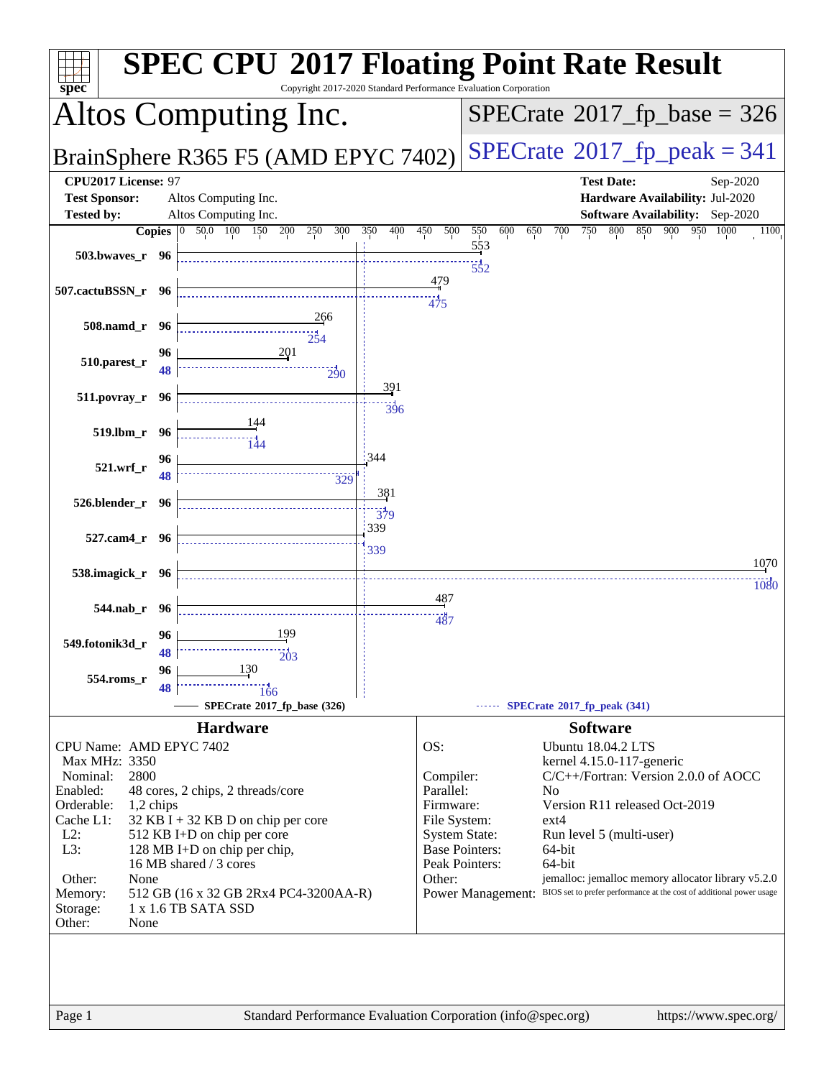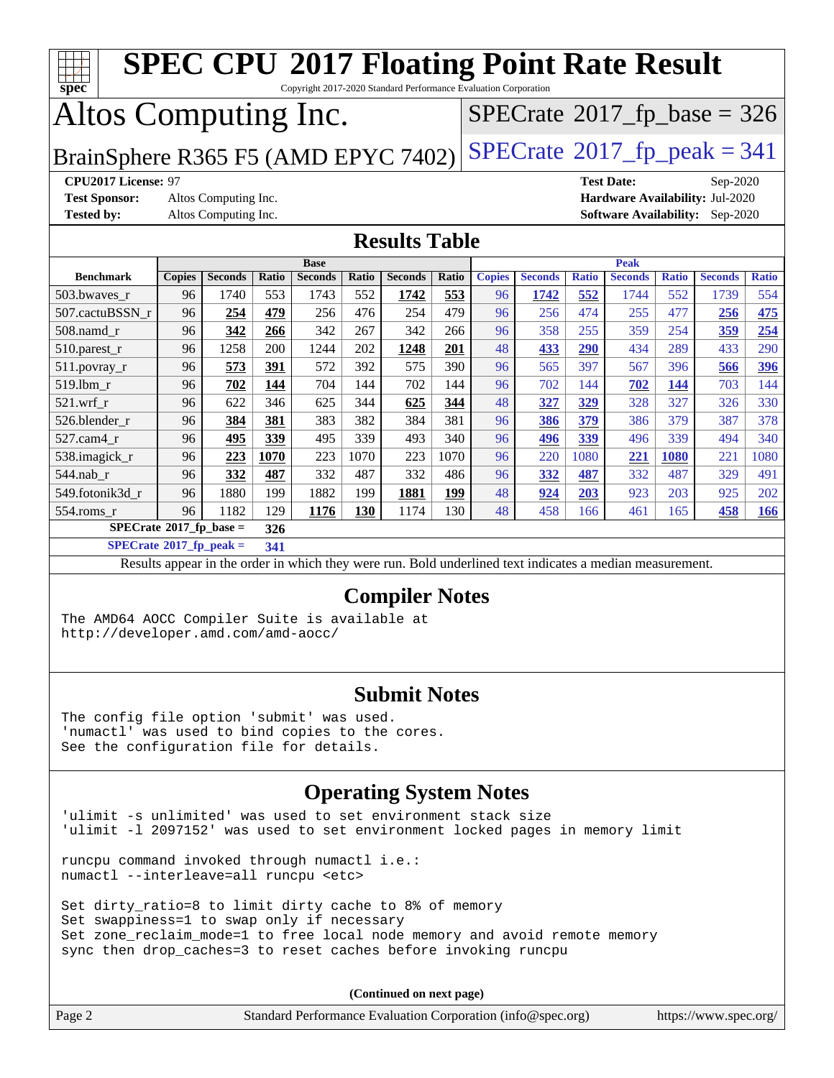| <b>SPEC CPU®2017 Floating Point Rate Result</b><br>ŦТ<br>Copyright 2017-2020 Standard Performance Evaluation Corporation<br>$spec^*$                                                                                     |                                                                                                                           |                |            |                |            |                      |            |               |                |              |                   |              |                                |              |
|--------------------------------------------------------------------------------------------------------------------------------------------------------------------------------------------------------------------------|---------------------------------------------------------------------------------------------------------------------------|----------------|------------|----------------|------------|----------------------|------------|---------------|----------------|--------------|-------------------|--------------|--------------------------------|--------------|
|                                                                                                                                                                                                                          | Altos Computing Inc.<br>$SPECrate$ <sup>®</sup> 2017_fp_base = 326                                                        |                |            |                |            |                      |            |               |                |              |                   |              |                                |              |
| BrainSphere R365 F5 (AMD EPYC 7402)                                                                                                                                                                                      |                                                                                                                           |                |            |                |            |                      |            |               |                |              |                   |              | $SPECTate@2017_fp\_peak = 341$ |              |
| CPU2017 License: 97                                                                                                                                                                                                      |                                                                                                                           |                |            |                |            |                      |            |               |                |              | <b>Test Date:</b> |              | Sep-2020                       |              |
| <b>Test Sponsor:</b>                                                                                                                                                                                                     | Altos Computing Inc.<br>Hardware Availability: Jul-2020<br>Altos Computing Inc.<br><b>Software Availability:</b> Sep-2020 |                |            |                |            |                      |            |               |                |              |                   |              |                                |              |
| <b>Tested by:</b>                                                                                                                                                                                                        |                                                                                                                           |                |            |                |            |                      |            |               |                |              |                   |              |                                |              |
|                                                                                                                                                                                                                          |                                                                                                                           |                |            |                |            | <b>Results Table</b> |            |               |                |              |                   |              |                                |              |
|                                                                                                                                                                                                                          |                                                                                                                           |                |            | <b>Base</b>    |            |                      |            |               |                |              | <b>Peak</b>       |              |                                |              |
| <b>Benchmark</b>                                                                                                                                                                                                         | <b>Copies</b>                                                                                                             | <b>Seconds</b> | Ratio      | <b>Seconds</b> | Ratio      | <b>Seconds</b>       | Ratio      | <b>Copies</b> | <b>Seconds</b> | <b>Ratio</b> | <b>Seconds</b>    | <b>Ratio</b> | <b>Seconds</b>                 | <b>Ratio</b> |
| 503.bwaves_r<br>507.cactuBSSN_r                                                                                                                                                                                          | 96<br>96                                                                                                                  | 1740<br>254    | 553<br>479 | 1743<br>256    | 552<br>476 | 1742<br>254          | 553<br>479 | 96<br>96      | 1742<br>256    | 552<br>474   | 1744<br>255       | 552<br>477   | 1739<br>256                    | 554<br>475   |
| 508.namd_r                                                                                                                                                                                                               | 96                                                                                                                        | 342            | 266        | 342            | 267        | 342                  | 266        | 96            | 358            | 255          | 359               | 254          | 359                            | 254          |
| 510.parest_r                                                                                                                                                                                                             | 96                                                                                                                        | 1258           | 200        | 1244           | 202        | 1248                 | 201        | 48            | 433            | 290          | 434               | 289          | 433                            | 290          |
| 511.povray_r                                                                                                                                                                                                             | 96                                                                                                                        | 573            | 391        | 572            | 392        | 575                  | 390        | 96            | 565            | 397          | 567               | 396          | 566                            | 396          |
| 519.1bm_r                                                                                                                                                                                                                | 96                                                                                                                        | 702            | 144        | 704            | 144        | 702                  | 144        | 96            | 702            | 144          | 702               | 144          | 703                            | 144          |
| $521.wrf_r$                                                                                                                                                                                                              | 96                                                                                                                        | 622            | 346        | 625            | 344        | 625                  | 344        | 48            | 327            | 329          | 328               | 327          | 326                            | 330          |
| 526.blender_r                                                                                                                                                                                                            | 96                                                                                                                        | 384            | 381        | 383            | 382        | 384                  | 381        | 96            | 386            | 379          | 386               | 379          | 387                            | 378          |
| 527.cam4_r                                                                                                                                                                                                               | 96                                                                                                                        | 495            | 339        | 495            | 339        | 493                  | 340        | 96            | 496            | 339          | 496               | 339          | 494                            | 340          |
| 538.imagick_r                                                                                                                                                                                                            | 96                                                                                                                        | 223            | 1070       | 223            | 1070       | 223                  | 1070       | 96            | 220            | 1080         | 221               | <b>1080</b>  | 221                            | 1080         |
| 544.nab_r                                                                                                                                                                                                                | 96                                                                                                                        | 332            | 487        | 332            | 487        | 332                  | 486        | 96            | 332            | 487          | 332               | 487          | 329                            | 491          |
| 549.fotonik3d_r                                                                                                                                                                                                          | 96                                                                                                                        | 1880           | 199        | 1882           | 199        | 1881                 | 199        | 48            | 924            | 203          | 923               | 203          | 925                            | 202          |
| $554$ .roms $r$                                                                                                                                                                                                          | 96                                                                                                                        | 1182           | 129        | 1176           | 130        | 1174                 | 130        | 48            | 458            | 166          | 461               | 165          | 458                            | 166          |
| $SPECrate^*2017_fp\_base =$                                                                                                                                                                                              |                                                                                                                           |                | 326        |                |            |                      |            |               |                |              |                   |              |                                |              |
| $SPECrate^{\circ}2017$ _fp_peak =                                                                                                                                                                                        |                                                                                                                           |                | 341        |                |            |                      |            |               |                |              |                   |              |                                |              |
|                                                                                                                                                                                                                          |                                                                                                                           |                |            |                |            |                      |            |               |                |              |                   |              |                                |              |
| Results appear in the order in which they were run. Bold underlined text indicates a median measurement.<br><b>Compiler Notes</b><br>The AMD64 AOCC Compiler Suite is available at<br>http://developer.amd.com/amd-aocc/ |                                                                                                                           |                |            |                |            |                      |            |               |                |              |                   |              |                                |              |
| <b>Submit Notes</b><br>The config file option 'submit' was used.<br>'numactl' was used to bind copies to the cores.<br>See the configuration file for details.                                                           |                                                                                                                           |                |            |                |            |                      |            |               |                |              |                   |              |                                |              |
| <b>Operating System Notes</b><br>'ulimit -s unlimited' was used to set environment stack size<br>'ulimit -1 2097152' was used to set environment locked pages in memory limit                                            |                                                                                                                           |                |            |                |            |                      |            |               |                |              |                   |              |                                |              |

runcpu command invoked through numactl i.e.: numactl --interleave=all runcpu <etc>

Set dirty\_ratio=8 to limit dirty cache to 8% of memory Set swappiness=1 to swap only if necessary Set zone\_reclaim\_mode=1 to free local node memory and avoid remote memory sync then drop\_caches=3 to reset caches before invoking runcpu

**(Continued on next page)**

| Page 2 | Standard Performance Evaluation Corporation (info@spec.org) |  |  | https://www.spec.org/ |  |
|--------|-------------------------------------------------------------|--|--|-----------------------|--|
|--------|-------------------------------------------------------------|--|--|-----------------------|--|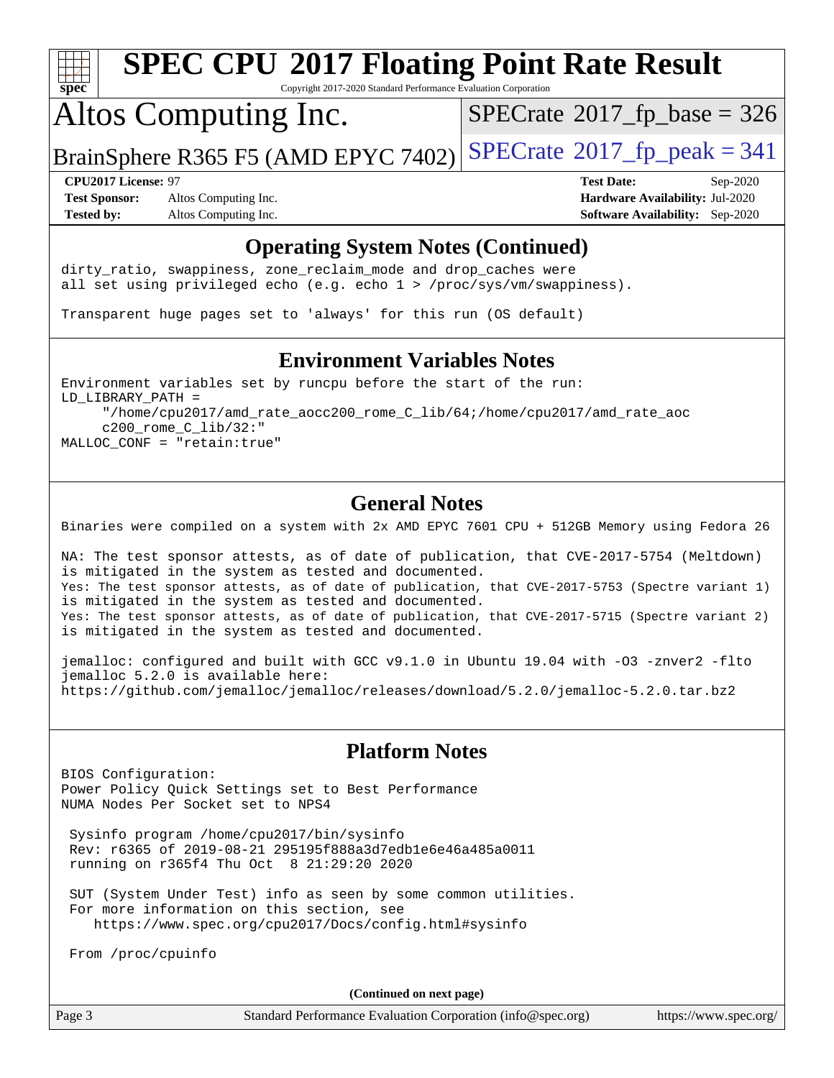

Copyright 2017-2020 Standard Performance Evaluation Corporation

## Altos Computing Inc.

 $SPECTate$ <sup>®</sup>[2017\\_fp\\_base =](http://www.spec.org/auto/cpu2017/Docs/result-fields.html#SPECrate2017fpbase) 326

BrainSphere R365 F5 (AMD EPYC 7402) [SPECrate](http://www.spec.org/auto/cpu2017/Docs/result-fields.html#SPECrate2017fppeak)®[2017\\_fp\\_peak = 3](http://www.spec.org/auto/cpu2017/Docs/result-fields.html#SPECrate2017fppeak)41

**[Test Sponsor:](http://www.spec.org/auto/cpu2017/Docs/result-fields.html#TestSponsor)** Altos Computing Inc. **[Hardware Availability:](http://www.spec.org/auto/cpu2017/Docs/result-fields.html#HardwareAvailability)** Jul-2020 **[Tested by:](http://www.spec.org/auto/cpu2017/Docs/result-fields.html#Testedby)** Altos Computing Inc. **[Software Availability:](http://www.spec.org/auto/cpu2017/Docs/result-fields.html#SoftwareAvailability)** Sep-2020

**[CPU2017 License:](http://www.spec.org/auto/cpu2017/Docs/result-fields.html#CPU2017License)** 97 **[Test Date:](http://www.spec.org/auto/cpu2017/Docs/result-fields.html#TestDate)** Sep-2020

#### **[Operating System Notes \(Continued\)](http://www.spec.org/auto/cpu2017/Docs/result-fields.html#OperatingSystemNotes)**

dirty\_ratio, swappiness, zone\_reclaim\_mode and drop caches were all set using privileged echo (e.g. echo 1 > /proc/sys/vm/swappiness).

Transparent huge pages set to 'always' for this run (OS default)

#### **[Environment Variables Notes](http://www.spec.org/auto/cpu2017/Docs/result-fields.html#EnvironmentVariablesNotes)**

Environment variables set by runcpu before the start of the run: LD\_LIBRARY\_PATH = "/home/cpu2017/amd\_rate\_aocc200\_rome\_C\_lib/64;/home/cpu2017/amd\_rate\_aoc c200\_rome\_C\_lib/32:" MALLOC\_CONF = "retain:true"

#### **[General Notes](http://www.spec.org/auto/cpu2017/Docs/result-fields.html#GeneralNotes)**

Binaries were compiled on a system with 2x AMD EPYC 7601 CPU + 512GB Memory using Fedora 26

NA: The test sponsor attests, as of date of publication, that CVE-2017-5754 (Meltdown) is mitigated in the system as tested and documented. Yes: The test sponsor attests, as of date of publication, that CVE-2017-5753 (Spectre variant 1) is mitigated in the system as tested and documented. Yes: The test sponsor attests, as of date of publication, that CVE-2017-5715 (Spectre variant 2) is mitigated in the system as tested and documented.

jemalloc: configured and built with GCC v9.1.0 in Ubuntu 19.04 with -O3 -znver2 -flto jemalloc 5.2.0 is available here: <https://github.com/jemalloc/jemalloc/releases/download/5.2.0/jemalloc-5.2.0.tar.bz2>

#### **[Platform Notes](http://www.spec.org/auto/cpu2017/Docs/result-fields.html#PlatformNotes)**

BIOS Configuration: Power Policy Quick Settings set to Best Performance NUMA Nodes Per Socket set to NPS4

 Sysinfo program /home/cpu2017/bin/sysinfo Rev: r6365 of 2019-08-21 295195f888a3d7edb1e6e46a485a0011 running on r365f4 Thu Oct 8 21:29:20 2020

 SUT (System Under Test) info as seen by some common utilities. For more information on this section, see <https://www.spec.org/cpu2017/Docs/config.html#sysinfo>

From /proc/cpuinfo

**(Continued on next page)**

|  | Page |  |
|--|------|--|
|--|------|--|

Page 3 Standard Performance Evaluation Corporation [\(info@spec.org\)](mailto:info@spec.org) <https://www.spec.org/>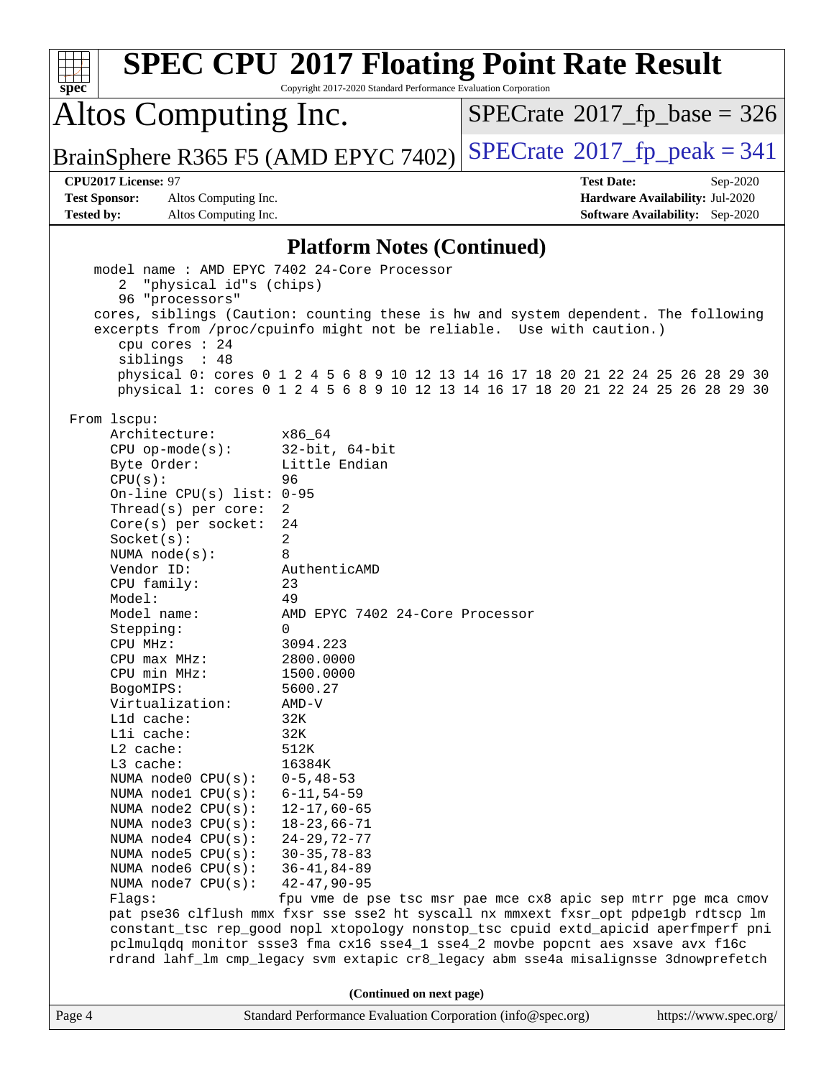|                                              | <b>SPEC CPU®2017 Floating Point Rate Result</b>                                                                                                                        |                                      |                                        |  |  |
|----------------------------------------------|------------------------------------------------------------------------------------------------------------------------------------------------------------------------|--------------------------------------|----------------------------------------|--|--|
| $spec*$                                      | Copyright 2017-2020 Standard Performance Evaluation Corporation                                                                                                        |                                      |                                        |  |  |
| Altos Computing Inc.                         |                                                                                                                                                                        | $SPECrate^{\circ}2017$ [p base = 326 |                                        |  |  |
| BrainSphere R365 F5 (AMD EPYC 7402)          |                                                                                                                                                                        | $SPECTate@2017_fp\_peak = 341$       |                                        |  |  |
| CPU2017 License: 97                          |                                                                                                                                                                        | <b>Test Date:</b>                    | Sep-2020                               |  |  |
| <b>Test Sponsor:</b><br>Altos Computing Inc. |                                                                                                                                                                        |                                      | Hardware Availability: Jul-2020        |  |  |
| <b>Tested by:</b><br>Altos Computing Inc.    |                                                                                                                                                                        |                                      | <b>Software Availability:</b> Sep-2020 |  |  |
| <b>Platform Notes (Continued)</b>            |                                                                                                                                                                        |                                      |                                        |  |  |
| "physical id"s (chips)<br>2                  | model name: AMD EPYC 7402 24-Core Processor                                                                                                                            |                                      |                                        |  |  |
| 96 "processors"                              |                                                                                                                                                                        |                                      |                                        |  |  |
|                                              | cores, siblings (Caution: counting these is hw and system dependent. The following                                                                                     |                                      |                                        |  |  |
|                                              | excerpts from /proc/cpuinfo might not be reliable. Use with caution.)                                                                                                  |                                      |                                        |  |  |
| cpu cores : 24<br>siblings : 48              |                                                                                                                                                                        |                                      |                                        |  |  |
|                                              | physical 0: cores 0 1 2 4 5 6 8 9 10 12 13 14 16 17 18 20 21 22 24 25 26 28 29 30                                                                                      |                                      |                                        |  |  |
|                                              | physical 1: cores 0 1 2 4 5 6 8 9 10 12 13 14 16 17 18 20 21 22 24 25 26 28 29 30                                                                                      |                                      |                                        |  |  |
| From 1scpu:                                  |                                                                                                                                                                        |                                      |                                        |  |  |
| Architecture:                                | x86 64                                                                                                                                                                 |                                      |                                        |  |  |
| $CPU$ op-mode( $s$ ):                        | $32$ -bit, $64$ -bit                                                                                                                                                   |                                      |                                        |  |  |
| Byte Order:                                  | Little Endian                                                                                                                                                          |                                      |                                        |  |  |
| CPU(s):                                      | 96                                                                                                                                                                     |                                      |                                        |  |  |
| On-line CPU(s) list: $0-95$                  |                                                                                                                                                                        |                                      |                                        |  |  |
| Thread(s) per core:                          | 2                                                                                                                                                                      |                                      |                                        |  |  |
| Core(s) per socket:                          | 24                                                                                                                                                                     |                                      |                                        |  |  |
| Socket(s):<br>NUMA $node(s):$                | 2<br>8                                                                                                                                                                 |                                      |                                        |  |  |
| Vendor ID:                                   | AuthenticAMD                                                                                                                                                           |                                      |                                        |  |  |
| CPU family:                                  | 23                                                                                                                                                                     |                                      |                                        |  |  |
| Model:                                       | 49                                                                                                                                                                     |                                      |                                        |  |  |
| Model name:                                  | AMD EPYC 7402 24-Core Processor                                                                                                                                        |                                      |                                        |  |  |
| Stepping:                                    | 0                                                                                                                                                                      |                                      |                                        |  |  |
| CPU MHz:                                     | 3094.223                                                                                                                                                               |                                      |                                        |  |  |
| CPU max MHz:                                 | 2800.0000                                                                                                                                                              |                                      |                                        |  |  |
| CPU min MHz:                                 | 1500.0000                                                                                                                                                              |                                      |                                        |  |  |
| BogoMIPS:                                    | 5600.27                                                                                                                                                                |                                      |                                        |  |  |
| Virtualization:                              | $AMD-V$                                                                                                                                                                |                                      |                                        |  |  |
| Lld cache:                                   | 32K                                                                                                                                                                    |                                      |                                        |  |  |
| Lli cache:<br>L2 cache:                      | 32K<br>512K                                                                                                                                                            |                                      |                                        |  |  |
| L3 cache:                                    | 16384K                                                                                                                                                                 |                                      |                                        |  |  |
| NUMA node0 CPU(s):                           | $0 - 5, 48 - 53$                                                                                                                                                       |                                      |                                        |  |  |
| NUMA nodel CPU(s):                           | $6 - 11, 54 - 59$                                                                                                                                                      |                                      |                                        |  |  |
| NUMA $node2$ $CPU(s)$ :                      | $12 - 17,60 - 65$                                                                                                                                                      |                                      |                                        |  |  |
| NUMA node3 CPU(s):                           | $18 - 23,66 - 71$                                                                                                                                                      |                                      |                                        |  |  |
| NUMA $node4$ $CPU(s):$                       | $24 - 29, 72 - 77$                                                                                                                                                     |                                      |                                        |  |  |
| NUMA $node5$ $CPU(s):$                       | $30 - 35, 78 - 83$                                                                                                                                                     |                                      |                                        |  |  |
| NUMA node6 CPU(s):                           | $36 - 41, 84 - 89$                                                                                                                                                     |                                      |                                        |  |  |
| NUMA node7 CPU(s):                           | $42 - 47, 90 - 95$                                                                                                                                                     |                                      |                                        |  |  |
| Flags:                                       | fpu vme de pse tsc msr pae mce cx8 apic sep mtrr pge mca cmov                                                                                                          |                                      |                                        |  |  |
|                                              | pat pse36 clflush mmx fxsr sse sse2 ht syscall nx mmxext fxsr_opt pdpe1gb rdtscp lm                                                                                    |                                      |                                        |  |  |
|                                              | constant_tsc rep_good nopl xtopology nonstop_tsc cpuid extd_apicid aperfmperf pni                                                                                      |                                      |                                        |  |  |
|                                              | pclmulqdq monitor ssse3 fma cx16 sse4_1 sse4_2 movbe popcnt aes xsave avx f16c<br>rdrand lahf_lm cmp_legacy svm extapic cr8_legacy abm sse4a misalignsse 3dnowprefetch |                                      |                                        |  |  |
|                                              |                                                                                                                                                                        |                                      |                                        |  |  |
|                                              | (Continued on next page)                                                                                                                                               |                                      |                                        |  |  |
| Page 4                                       | Standard Performance Evaluation Corporation (info@spec.org)                                                                                                            |                                      | https://www.spec.org/                  |  |  |
|                                              |                                                                                                                                                                        |                                      |                                        |  |  |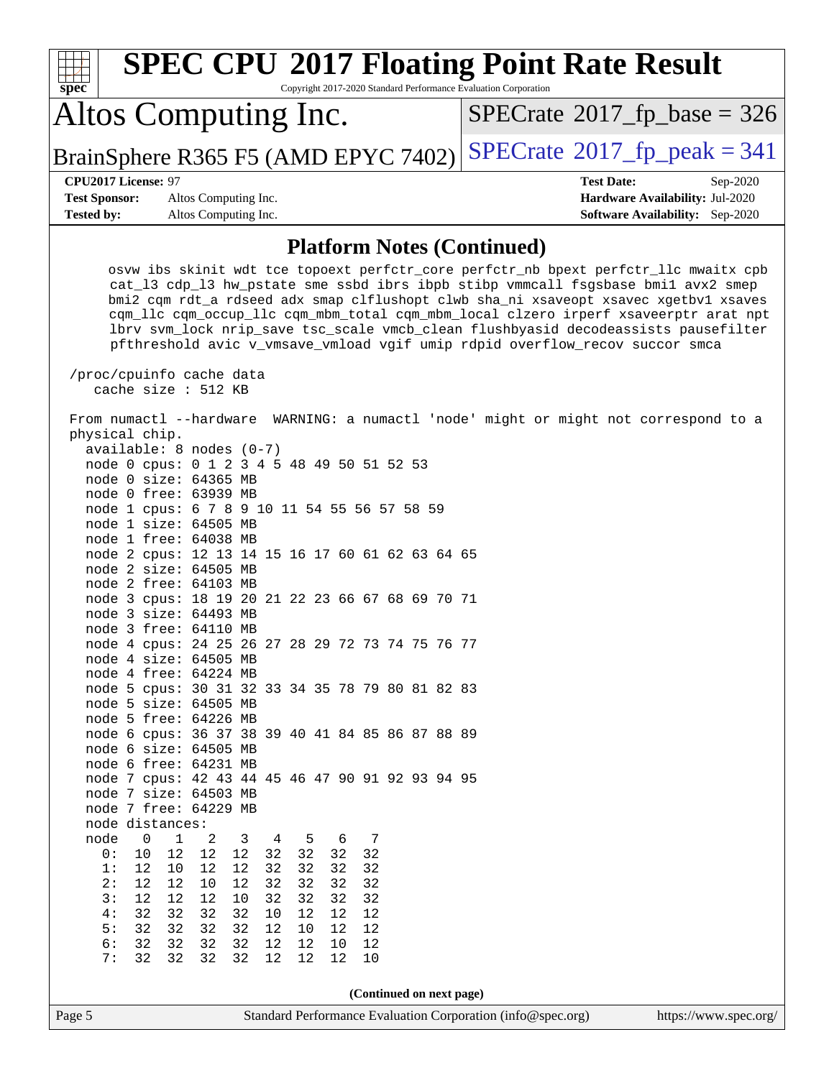| <b>SPEC CPU®2017 Floating Point Rate Result</b><br>Copyright 2017-2020 Standard Performance Evaluation Corporation<br>$spec^*$                                                                                                                                                                                                                                                                                                                                                                                                                           |                                        |  |  |  |  |
|----------------------------------------------------------------------------------------------------------------------------------------------------------------------------------------------------------------------------------------------------------------------------------------------------------------------------------------------------------------------------------------------------------------------------------------------------------------------------------------------------------------------------------------------------------|----------------------------------------|--|--|--|--|
| Altos Computing Inc.                                                                                                                                                                                                                                                                                                                                                                                                                                                                                                                                     | $SPECrate^{\circ}2017$ fp base = 326   |  |  |  |  |
| BrainSphere R365 F5 (AMD EPYC 7402)                                                                                                                                                                                                                                                                                                                                                                                                                                                                                                                      | $SPECTate@2017fr peak = 341$           |  |  |  |  |
| CPU2017 License: 97                                                                                                                                                                                                                                                                                                                                                                                                                                                                                                                                      | <b>Test Date:</b><br>Sep-2020          |  |  |  |  |
| <b>Test Sponsor:</b><br>Altos Computing Inc.                                                                                                                                                                                                                                                                                                                                                                                                                                                                                                             | Hardware Availability: Jul-2020        |  |  |  |  |
| <b>Tested by:</b><br>Altos Computing Inc.                                                                                                                                                                                                                                                                                                                                                                                                                                                                                                                | <b>Software Availability:</b> Sep-2020 |  |  |  |  |
| <b>Platform Notes (Continued)</b>                                                                                                                                                                                                                                                                                                                                                                                                                                                                                                                        |                                        |  |  |  |  |
| osvw ibs skinit wdt tce topoext perfctr_core perfctr_nb bpext perfctr_llc mwaitx cpb<br>cat_13 cdp_13 hw_pstate sme ssbd ibrs ibpb stibp vmmcall fsgsbase bmil avx2 smep<br>bmi2 cqm rdt_a rdseed adx smap clflushopt clwb sha_ni xsaveopt xsavec xgetbvl xsaves<br>cqm_llc cqm_occup_llc cqm_mbm_total cqm_mbm_local clzero irperf xsaveerptr arat npt<br>lbrv svm_lock nrip_save tsc_scale vmcb_clean flushbyasid decodeassists pausefilter<br>pfthreshold avic v_vmsave_vmload vgif umip rdpid overflow_recov succor smca<br>/proc/cpuinfo cache data |                                        |  |  |  |  |
| cache size : 512 KB<br>From numactl --hardware WARNING: a numactl 'node' might or might not correspond to a<br>physical chip.<br>$available: 8 nodes (0-7)$<br>node 0 cpus: 0 1 2 3 4 5 48 49 50 51 52 53<br>node 0 size: 64365 MB<br>node 0 free: 63939 MB<br>node 1 cpus: 6 7 8 9 10 11 54 55 56 57 58 59                                                                                                                                                                                                                                              |                                        |  |  |  |  |
| node 1 size: 64505 MB<br>node 1 free: 64038 MB<br>node 2 cpus: 12 13 14 15 16 17 60 61 62 63 64 65<br>node 2 size: 64505 MB<br>node 2 free: 64103 MB                                                                                                                                                                                                                                                                                                                                                                                                     |                                        |  |  |  |  |
| node 3 cpus: 18 19 20 21 22 23 66 67 68 69 70 71<br>node 3 size: 64493 MB<br>node 3 free: 64110 MB<br>node 4 cpus: 24 25 26 27 28 29 72 73 74 75 76 77<br>node 4 size: 64505 MB<br>node 4 free: 64224 MB                                                                                                                                                                                                                                                                                                                                                 |                                        |  |  |  |  |
| node 5 cpus: 30 31 32 33 34 35 78 79 80 81 82 83<br>node 5 size: 64505 MB<br>node 5 free: 64226 MB<br>node 6 cpus: 36 37 38 39 40 41 84 85 86 87 88 89                                                                                                                                                                                                                                                                                                                                                                                                   |                                        |  |  |  |  |
| node 6 size: 64505 MB<br>node 6 free: 64231 MB<br>node 7 cpus: 42 43 44 45 46 47 90 91 92 93 94 95<br>node 7 size: 64503 MB<br>node 7 free: 64229 MB                                                                                                                                                                                                                                                                                                                                                                                                     |                                        |  |  |  |  |
| node distances:<br>node<br>$\mathbf 1$<br>5<br>7<br>0<br>2<br>3<br>4<br>6<br>12<br>12<br>12<br>32<br>32<br>32<br>32<br>0 :<br>10<br>1:<br>12<br>12<br>32<br>32<br>32<br>12<br>10<br>32<br>2:<br>12<br>12<br>$10$<br>12<br>32<br>32<br>32<br>32<br>12<br>32<br>3 :<br>12<br>12<br>10<br>32<br>32<br>32<br>4:<br>32<br>32<br>32<br>32<br>10<br>$12\,$<br>12<br>12<br>32<br>5:<br>32<br>32<br>32<br>12<br>12<br>12<br>10<br>6:<br>32<br>32<br>32<br>32<br>12<br>12<br>12<br>10<br>32<br>7:<br>32<br>32<br>32<br>12<br>12<br>12<br>10                        |                                        |  |  |  |  |
| (Continued on next page)<br>Standard Performance Evaluation Corporation (info@spec.org)<br>Page 5                                                                                                                                                                                                                                                                                                                                                                                                                                                        | https://www.spec.org/                  |  |  |  |  |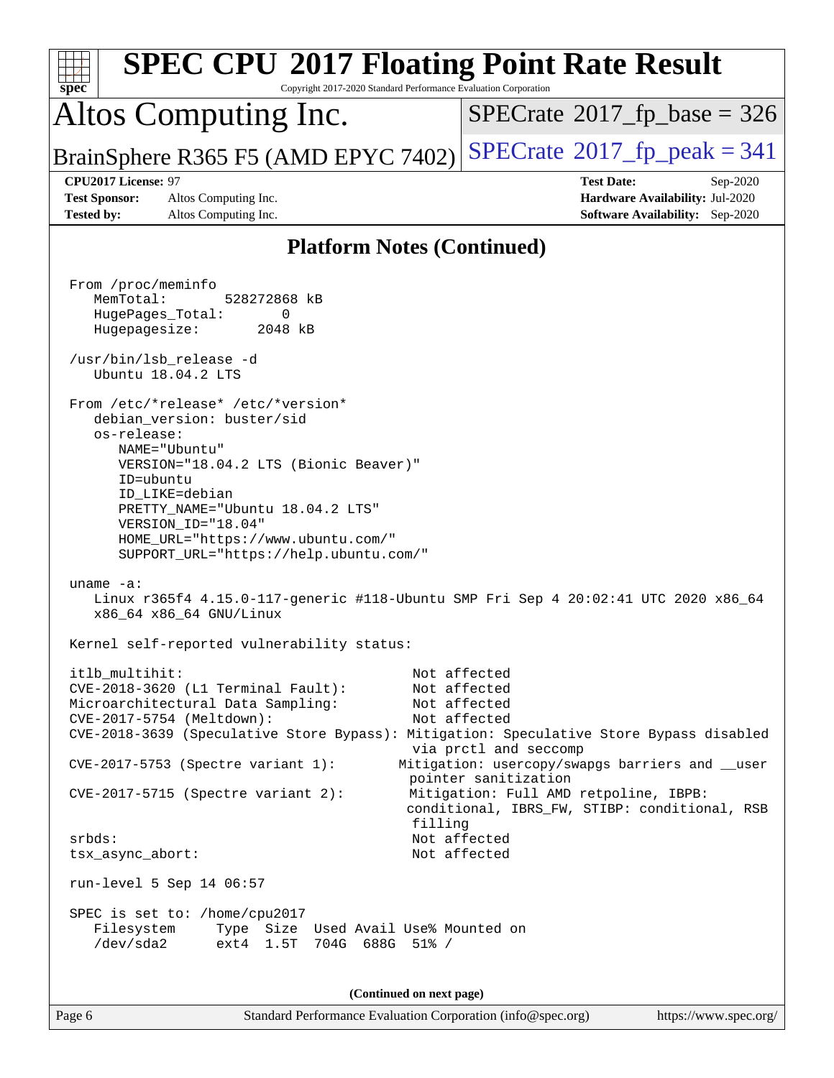| <b>SPEC CPU®2017 Floating Point Rate Result</b><br>Copyright 2017-2020 Standard Performance Evaluation Corporation<br>spec <sup>®</sup>                                                                                                                                                                |                                                                                                                                                                                                                                                            |
|--------------------------------------------------------------------------------------------------------------------------------------------------------------------------------------------------------------------------------------------------------------------------------------------------------|------------------------------------------------------------------------------------------------------------------------------------------------------------------------------------------------------------------------------------------------------------|
| Altos Computing Inc.                                                                                                                                                                                                                                                                                   | $SPECrate^{\circ}2017$ fp base = 326                                                                                                                                                                                                                       |
| BrainSphere R365 F5 (AMD EPYC 7402)                                                                                                                                                                                                                                                                    | $SPECrate^{\circ}2017$ fp peak = 341                                                                                                                                                                                                                       |
| CPU2017 License: 97<br><b>Test Sponsor:</b><br>Altos Computing Inc.<br><b>Tested by:</b><br>Altos Computing Inc.                                                                                                                                                                                       | <b>Test Date:</b><br>Sep-2020<br>Hardware Availability: Jul-2020<br><b>Software Availability:</b> Sep-2020                                                                                                                                                 |
| <b>Platform Notes (Continued)</b>                                                                                                                                                                                                                                                                      |                                                                                                                                                                                                                                                            |
| From /proc/meminfo<br>MemTotal:<br>528272868 kB<br>HugePages_Total:<br>0<br>Hugepagesize:<br>2048 kB<br>/usr/bin/lsb_release -d<br>Ubuntu 18.04.2 LTS<br>From /etc/*release* /etc/*version*<br>debian_version: buster/sid<br>os-release:<br>NAME="Ubuntu"<br>VERSION="18.04.2 LTS (Bionic Beaver)"     |                                                                                                                                                                                                                                                            |
| ID=ubuntu<br>ID LIKE=debian<br>PRETTY_NAME="Ubuntu 18.04.2 LTS"<br>VERSION_ID="18.04"<br>HOME_URL="https://www.ubuntu.com/"<br>SUPPORT_URL="https://help.ubuntu.com/"<br>uname $-a$ :<br>Linux r365f4 4.15.0-117-generic #118-Ubuntu SMP Fri Sep 4 20:02:41 UTC 2020 x86_64<br>x86_64 x86_64 GNU/Linux |                                                                                                                                                                                                                                                            |
| Kernel self-reported vulnerability status:                                                                                                                                                                                                                                                             |                                                                                                                                                                                                                                                            |
| itlb multihit:<br>CVE-2018-3620 (L1 Terminal Fault):<br>Microarchitectural Data Sampling:<br>CVE-2017-5754 (Meltdown):<br>CVE-2018-3639 (Speculative Store Bypass): Mitigation: Speculative Store Bypass disabled<br>CVE-2017-5753 (Spectre variant 1):<br>CVE-2017-5715 (Spectre variant 2):          | Not affected<br>Not affected<br>Not affected<br>Not affected<br>via prctl and seccomp<br>Mitigation: usercopy/swapgs barriers and __user<br>pointer sanitization<br>Mitigation: Full AMD retpoline, IBPB:<br>conditional, IBRS_FW, STIBP: conditional, RSB |
| filling<br>srbds:<br>tsx_async_abort:                                                                                                                                                                                                                                                                  | Not affected<br>Not affected                                                                                                                                                                                                                               |
| run-level 5 Sep 14 06:57<br>SPEC is set to: /home/cpu2017<br>Filesystem<br>Type Size Used Avail Use% Mounted on<br>/dev/sda2<br>ext4 1.5T<br>704G 688G 51% /                                                                                                                                           |                                                                                                                                                                                                                                                            |
| (Continued on next page)                                                                                                                                                                                                                                                                               |                                                                                                                                                                                                                                                            |
| Page 6<br>Standard Performance Evaluation Corporation (info@spec.org)                                                                                                                                                                                                                                  | https://www.spec.org/                                                                                                                                                                                                                                      |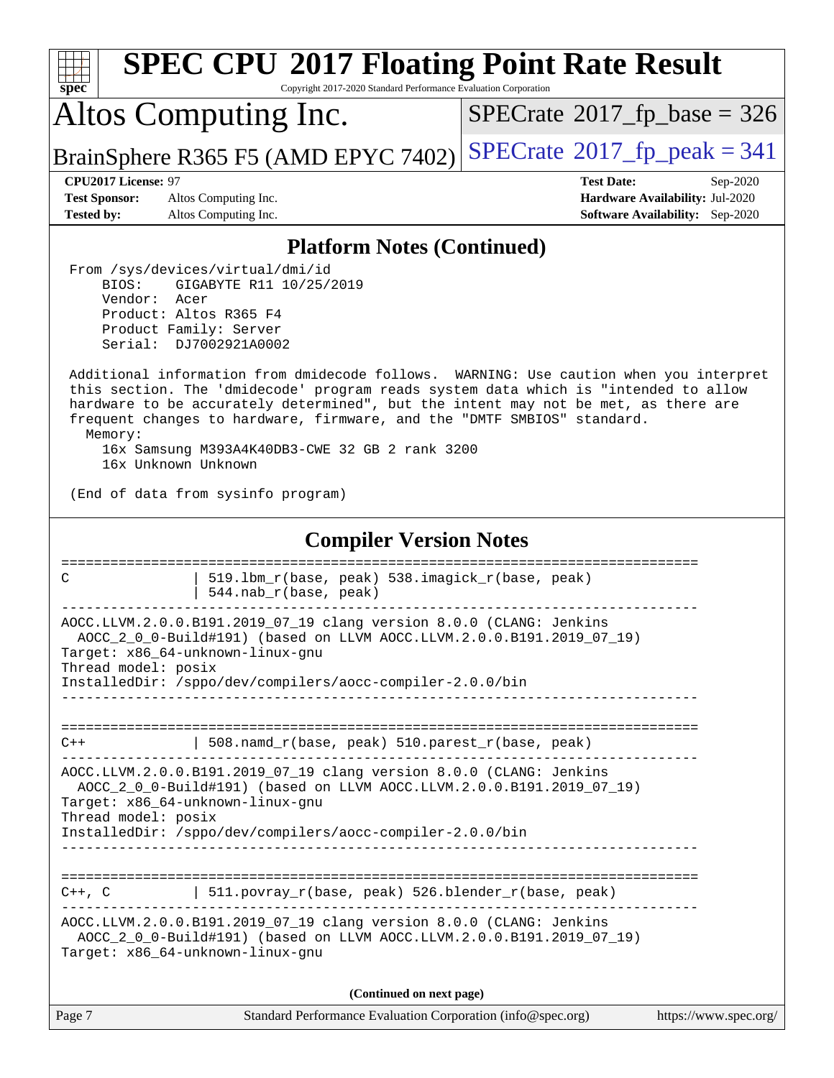| <b>SPEC CPU®2017 Floating Point Rate Result</b><br>Copyright 2017-2020 Standard Performance Evaluation Corporation<br>$spec^*$                                                                                                                                                                                                                                                                                                     |                                                                                                            |  |  |  |  |
|------------------------------------------------------------------------------------------------------------------------------------------------------------------------------------------------------------------------------------------------------------------------------------------------------------------------------------------------------------------------------------------------------------------------------------|------------------------------------------------------------------------------------------------------------|--|--|--|--|
| Altos Computing Inc.                                                                                                                                                                                                                                                                                                                                                                                                               | $SPECrate^{\circ}2017$ fp base = 326                                                                       |  |  |  |  |
| BrainSphere R365 F5 (AMD EPYC 7402)                                                                                                                                                                                                                                                                                                                                                                                                | $SPECTate@2017fr peak = 341$                                                                               |  |  |  |  |
| CPU2017 License: 97<br>Altos Computing Inc.<br><b>Test Sponsor:</b><br><b>Tested by:</b><br>Altos Computing Inc.                                                                                                                                                                                                                                                                                                                   | <b>Test Date:</b><br>Sep-2020<br>Hardware Availability: Jul-2020<br><b>Software Availability:</b> Sep-2020 |  |  |  |  |
| <b>Platform Notes (Continued)</b>                                                                                                                                                                                                                                                                                                                                                                                                  |                                                                                                            |  |  |  |  |
| From /sys/devices/virtual/dmi/id<br>BIOS:<br>GIGABYTE R11 10/25/2019<br>Vendor:<br>Acer<br>Product: Altos R365 F4<br>Product Family: Server<br>Serial: DJ7002921A0002                                                                                                                                                                                                                                                              |                                                                                                            |  |  |  |  |
| Additional information from dmidecode follows. WARNING: Use caution when you interpret<br>this section. The 'dmidecode' program reads system data which is "intended to allow<br>hardware to be accurately determined", but the intent may not be met, as there are<br>frequent changes to hardware, firmware, and the "DMTF SMBIOS" standard.<br>Memory:<br>16x Samsung M393A4K40DB3-CWE 32 GB 2 rank 3200<br>16x Unknown Unknown |                                                                                                            |  |  |  |  |
| (End of data from sysinfo program)                                                                                                                                                                                                                                                                                                                                                                                                 |                                                                                                            |  |  |  |  |
| <b>Compiler Version Notes</b>                                                                                                                                                                                                                                                                                                                                                                                                      |                                                                                                            |  |  |  |  |
| ==============================<br>===============<br>519.1bm_r(base, peak) 538.imagick_r(base, peak)<br>C<br>544.nab_r(base, peak)                                                                                                                                                                                                                                                                                                 |                                                                                                            |  |  |  |  |
| AOCC.LLVM.2.0.0.B191.2019_07_19 clang version 8.0.0 (CLANG: Jenkins<br>AOCC_2_0_0-Build#191) (based on LLVM AOCC.LLVM.2.0.0.B191.2019_07_19)<br>Target: x86 64-unknown-linux-gnu<br>Thread model: posix<br>InstalledDir: /sppo/dev/compilers/aocc-compiler-2.0.0/bin                                                                                                                                                               |                                                                                                            |  |  |  |  |
| $508.namd_r(base, peak) 510.parest_r(base, peak)$<br>$C++$                                                                                                                                                                                                                                                                                                                                                                         |                                                                                                            |  |  |  |  |
| AOCC.LLVM.2.0.0.B191.2019_07_19 clang version 8.0.0 (CLANG: Jenkins<br>AOCC_2_0_0-Build#191) (based on LLVM AOCC.LLVM.2.0.0.B191.2019_07_19)<br>Target: x86_64-unknown-linux-gnu<br>Thread model: posix<br>InstalledDir: /sppo/dev/compilers/aocc-compiler-2.0.0/bin<br>_________________________________                                                                                                                          |                                                                                                            |  |  |  |  |
| $\vert$ 511.povray_r(base, peak) 526.blender_r(base, peak)<br>$C++$ , $C$<br>AOCC.LLVM.2.0.0.B191.2019_07_19 clang version 8.0.0 (CLANG: Jenkins<br>AOCC_2_0_0-Build#191) (based on LLVM AOCC.LLVM.2.0.0.B191.2019_07_19)<br>Target: x86_64-unknown-linux-gnu                                                                                                                                                                      |                                                                                                            |  |  |  |  |
| (Continued on next page)                                                                                                                                                                                                                                                                                                                                                                                                           |                                                                                                            |  |  |  |  |
| Page 7<br>Standard Performance Evaluation Corporation (info@spec.org)                                                                                                                                                                                                                                                                                                                                                              | https://www.spec.org/                                                                                      |  |  |  |  |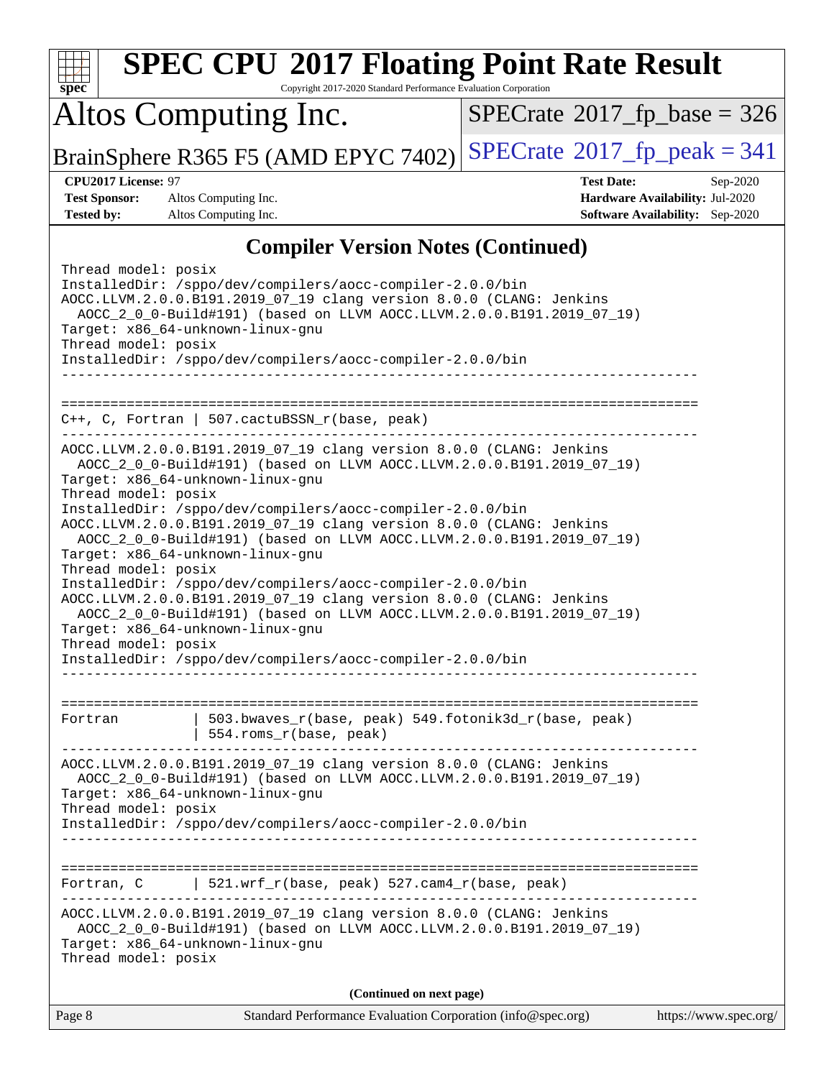| spec                                                                                                                                                                                                                                                                                                                                                                                                                                                                                                                                                                                                                                                                                                                                                                                                                 | <b>SPEC CPU®2017 Floating Point Rate Result</b><br>Copyright 2017-2020 Standard Performance Evaluation Corporation                                                                                                                                                     |                                             |                                                                                       |  |
|----------------------------------------------------------------------------------------------------------------------------------------------------------------------------------------------------------------------------------------------------------------------------------------------------------------------------------------------------------------------------------------------------------------------------------------------------------------------------------------------------------------------------------------------------------------------------------------------------------------------------------------------------------------------------------------------------------------------------------------------------------------------------------------------------------------------|------------------------------------------------------------------------------------------------------------------------------------------------------------------------------------------------------------------------------------------------------------------------|---------------------------------------------|---------------------------------------------------------------------------------------|--|
|                                                                                                                                                                                                                                                                                                                                                                                                                                                                                                                                                                                                                                                                                                                                                                                                                      | Altos Computing Inc.                                                                                                                                                                                                                                                   | $SPECrate^{\circ}2017$ fp base = 326        |                                                                                       |  |
|                                                                                                                                                                                                                                                                                                                                                                                                                                                                                                                                                                                                                                                                                                                                                                                                                      | BrainSphere R365 F5 (AMD EPYC 7402)                                                                                                                                                                                                                                    | $SPECrate^{\circledcirc}2017$ [p_peak = 341 |                                                                                       |  |
| CPU2017 License: 97<br><b>Test Sponsor:</b><br><b>Tested by:</b>                                                                                                                                                                                                                                                                                                                                                                                                                                                                                                                                                                                                                                                                                                                                                     | Altos Computing Inc.<br>Altos Computing Inc.                                                                                                                                                                                                                           | <b>Test Date:</b>                           | Sep-2020<br>Hardware Availability: Jul-2020<br><b>Software Availability:</b> Sep-2020 |  |
|                                                                                                                                                                                                                                                                                                                                                                                                                                                                                                                                                                                                                                                                                                                                                                                                                      | <b>Compiler Version Notes (Continued)</b>                                                                                                                                                                                                                              |                                             |                                                                                       |  |
| Thread model: posix<br>Target: x86_64-unknown-linux-gnu<br>Thread model: posix                                                                                                                                                                                                                                                                                                                                                                                                                                                                                                                                                                                                                                                                                                                                       | InstalledDir: /sppo/dev/compilers/aocc-compiler-2.0.0/bin<br>AOCC.LLVM.2.0.0.B191.2019_07_19 clang version 8.0.0 (CLANG: Jenkins<br>AOCC_2_0_0-Build#191) (based on LLVM AOCC.LLVM.2.0.0.B191.2019_07_19)<br>InstalledDir: /sppo/dev/compilers/aocc-compiler-2.0.0/bin |                                             |                                                                                       |  |
|                                                                                                                                                                                                                                                                                                                                                                                                                                                                                                                                                                                                                                                                                                                                                                                                                      | C++, C, Fortran   507.cactuBSSN_r(base, peak)                                                                                                                                                                                                                          |                                             |                                                                                       |  |
| AOCC.LLVM.2.0.0.B191.2019_07_19 clang version 8.0.0 (CLANG: Jenkins<br>AOCC_2_0_0-Build#191) (based on LLVM AOCC.LLVM.2.0.0.B191.2019_07_19)<br>Target: x86_64-unknown-linux-gnu<br>Thread model: posix<br>InstalledDir: /sppo/dev/compilers/aocc-compiler-2.0.0/bin<br>AOCC.LLVM.2.0.0.B191.2019_07_19 clang version 8.0.0 (CLANG: Jenkins<br>AOCC_2_0_0-Build#191) (based on LLVM AOCC.LLVM.2.0.0.B191.2019_07_19)<br>Target: x86_64-unknown-linux-gnu<br>Thread model: posix<br>InstalledDir: /sppo/dev/compilers/aocc-compiler-2.0.0/bin<br>AOCC.LLVM.2.0.0.B191.2019_07_19 clang version 8.0.0 (CLANG: Jenkins<br>AOCC_2_0_0-Build#191) (based on LLVM AOCC.LLVM.2.0.0.B191.2019_07_19)<br>Target: x86_64-unknown-linux-gnu<br>Thread model: posix<br>InstalledDir: /sppo/dev/compilers/aocc-compiler-2.0.0/bin |                                                                                                                                                                                                                                                                        |                                             |                                                                                       |  |
| Fortran                                                                                                                                                                                                                                                                                                                                                                                                                                                                                                                                                                                                                                                                                                                                                                                                              | 503.bwaves_r(base, peak) 549.fotonik3d_r(base, peak)<br>$554.rows_r(base, peak)$                                                                                                                                                                                       |                                             |                                                                                       |  |
| AOCC.LLVM.2.0.0.B191.2019_07_19 clang version 8.0.0 (CLANG: Jenkins<br>AOCC_2_0_0-Build#191) (based on LLVM AOCC.LLVM.2.0.0.B191.2019_07_19)<br>Target: x86_64-unknown-linux-gnu<br>Thread model: posix<br>InstalledDir: /sppo/dev/compilers/aocc-compiler-2.0.0/bin                                                                                                                                                                                                                                                                                                                                                                                                                                                                                                                                                 |                                                                                                                                                                                                                                                                        |                                             |                                                                                       |  |
| Fortran, C                                                                                                                                                                                                                                                                                                                                                                                                                                                                                                                                                                                                                                                                                                                                                                                                           | $521.wrf_r(base, peak) 527.cam4_r(base, peak)$                                                                                                                                                                                                                         |                                             |                                                                                       |  |
| AOCC.LLVM.2.0.0.B191.2019_07_19 clang version 8.0.0 (CLANG: Jenkins<br>AOCC_2_0_0-Build#191) (based on LLVM AOCC.LLVM.2.0.0.B191.2019_07_19)<br>Target: x86_64-unknown-linux-gnu<br>Thread model: posix                                                                                                                                                                                                                                                                                                                                                                                                                                                                                                                                                                                                              |                                                                                                                                                                                                                                                                        |                                             |                                                                                       |  |
|                                                                                                                                                                                                                                                                                                                                                                                                                                                                                                                                                                                                                                                                                                                                                                                                                      | (Continued on next page)                                                                                                                                                                                                                                               |                                             |                                                                                       |  |
| Page 8                                                                                                                                                                                                                                                                                                                                                                                                                                                                                                                                                                                                                                                                                                                                                                                                               | Standard Performance Evaluation Corporation (info@spec.org)                                                                                                                                                                                                            |                                             | https://www.spec.org/                                                                 |  |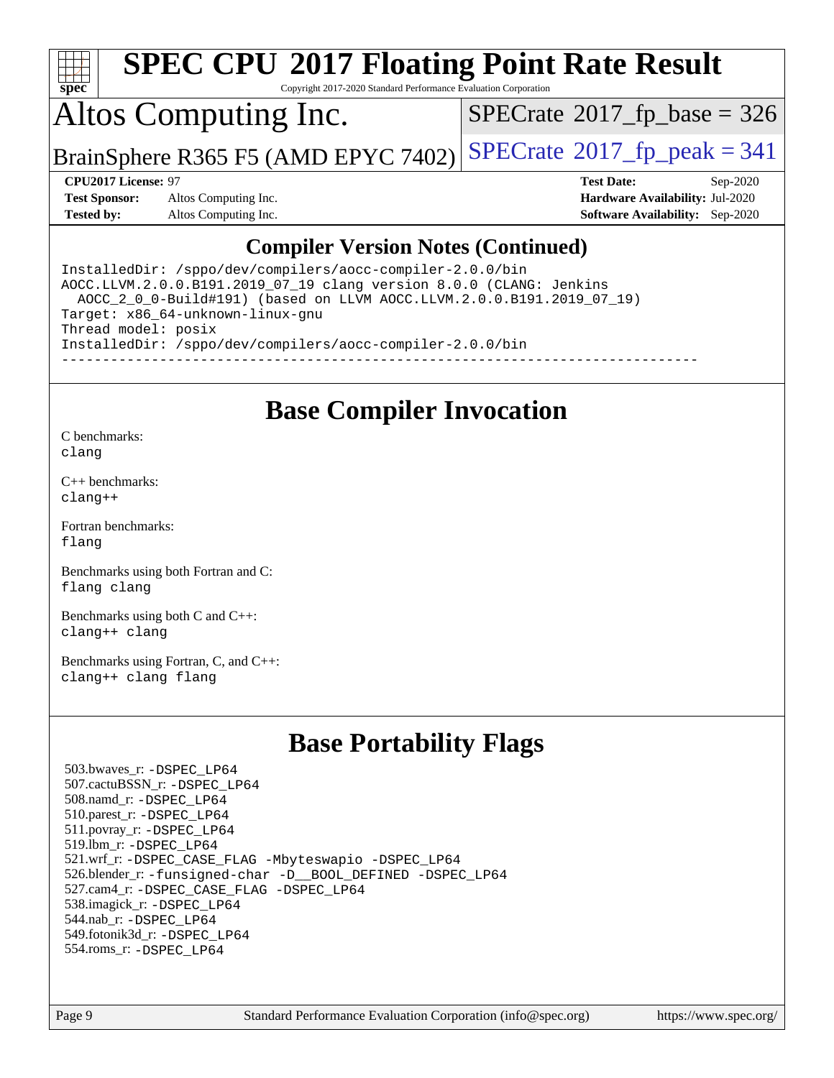

Copyright 2017-2020 Standard Performance Evaluation Corporation

## Altos Computing Inc.

 $SPECTate$ <sup>®</sup>[2017\\_fp\\_base =](http://www.spec.org/auto/cpu2017/Docs/result-fields.html#SPECrate2017fpbase) 326

BrainSphere R365 F5 (AMD EPYC 7402) [SPECrate](http://www.spec.org/auto/cpu2017/Docs/result-fields.html#SPECrate2017fppeak)<sup>®</sup>[2017\\_fp\\_peak = 3](http://www.spec.org/auto/cpu2017/Docs/result-fields.html#SPECrate2017fppeak)41

**[Test Sponsor:](http://www.spec.org/auto/cpu2017/Docs/result-fields.html#TestSponsor)** Altos Computing Inc. **[Hardware Availability:](http://www.spec.org/auto/cpu2017/Docs/result-fields.html#HardwareAvailability)** Jul-2020 **[Tested by:](http://www.spec.org/auto/cpu2017/Docs/result-fields.html#Testedby)** Altos Computing Inc. **[Software Availability:](http://www.spec.org/auto/cpu2017/Docs/result-fields.html#SoftwareAvailability)** Sep-2020

**[CPU2017 License:](http://www.spec.org/auto/cpu2017/Docs/result-fields.html#CPU2017License)** 97 **[Test Date:](http://www.spec.org/auto/cpu2017/Docs/result-fields.html#TestDate)** Sep-2020

#### **[Compiler Version Notes \(Continued\)](http://www.spec.org/auto/cpu2017/Docs/result-fields.html#CompilerVersionNotes)**

InstalledDir: /sppo/dev/compilers/aocc-compiler-2.0.0/bin AOCC.LLVM.2.0.0.B191.2019\_07\_19 clang version 8.0.0 (CLANG: Jenkins AOCC\_2\_0\_0-Build#191) (based on LLVM AOCC.LLVM.2.0.0.B191.2019\_07\_19) Target: x86\_64-unknown-linux-gnu Thread model: posix InstalledDir: /sppo/dev/compilers/aocc-compiler-2.0.0/bin ------------------------------------------------------------------------------

#### **[Base Compiler Invocation](http://www.spec.org/auto/cpu2017/Docs/result-fields.html#BaseCompilerInvocation)**

[C benchmarks](http://www.spec.org/auto/cpu2017/Docs/result-fields.html#Cbenchmarks): [clang](http://www.spec.org/cpu2017/results/res2020q4/cpu2017-20201012-24195.flags.html#user_CCbase_clang-c)

[C++ benchmarks:](http://www.spec.org/auto/cpu2017/Docs/result-fields.html#CXXbenchmarks) [clang++](http://www.spec.org/cpu2017/results/res2020q4/cpu2017-20201012-24195.flags.html#user_CXXbase_clang-cpp)

[Fortran benchmarks](http://www.spec.org/auto/cpu2017/Docs/result-fields.html#Fortranbenchmarks): [flang](http://www.spec.org/cpu2017/results/res2020q4/cpu2017-20201012-24195.flags.html#user_FCbase_flang)

[Benchmarks using both Fortran and C](http://www.spec.org/auto/cpu2017/Docs/result-fields.html#BenchmarksusingbothFortranandC): [flang](http://www.spec.org/cpu2017/results/res2020q4/cpu2017-20201012-24195.flags.html#user_CC_FCbase_flang) [clang](http://www.spec.org/cpu2017/results/res2020q4/cpu2017-20201012-24195.flags.html#user_CC_FCbase_clang-c)

[Benchmarks using both C and C++](http://www.spec.org/auto/cpu2017/Docs/result-fields.html#BenchmarksusingbothCandCXX): [clang++](http://www.spec.org/cpu2017/results/res2020q4/cpu2017-20201012-24195.flags.html#user_CC_CXXbase_clang-cpp) [clang](http://www.spec.org/cpu2017/results/res2020q4/cpu2017-20201012-24195.flags.html#user_CC_CXXbase_clang-c)

[Benchmarks using Fortran, C, and C++:](http://www.spec.org/auto/cpu2017/Docs/result-fields.html#BenchmarksusingFortranCandCXX) [clang++](http://www.spec.org/cpu2017/results/res2020q4/cpu2017-20201012-24195.flags.html#user_CC_CXX_FCbase_clang-cpp) [clang](http://www.spec.org/cpu2017/results/res2020q4/cpu2017-20201012-24195.flags.html#user_CC_CXX_FCbase_clang-c) [flang](http://www.spec.org/cpu2017/results/res2020q4/cpu2017-20201012-24195.flags.html#user_CC_CXX_FCbase_flang)

### **[Base Portability Flags](http://www.spec.org/auto/cpu2017/Docs/result-fields.html#BasePortabilityFlags)**

 503.bwaves\_r: [-DSPEC\\_LP64](http://www.spec.org/cpu2017/results/res2020q4/cpu2017-20201012-24195.flags.html#suite_baseEXTRA_PORTABILITY503_bwaves_r_DSPEC_LP64) 507.cactuBSSN\_r: [-DSPEC\\_LP64](http://www.spec.org/cpu2017/results/res2020q4/cpu2017-20201012-24195.flags.html#suite_baseEXTRA_PORTABILITY507_cactuBSSN_r_DSPEC_LP64) 508.namd\_r: [-DSPEC\\_LP64](http://www.spec.org/cpu2017/results/res2020q4/cpu2017-20201012-24195.flags.html#suite_baseEXTRA_PORTABILITY508_namd_r_DSPEC_LP64) 510.parest\_r: [-DSPEC\\_LP64](http://www.spec.org/cpu2017/results/res2020q4/cpu2017-20201012-24195.flags.html#suite_baseEXTRA_PORTABILITY510_parest_r_DSPEC_LP64) 511.povray\_r: [-DSPEC\\_LP64](http://www.spec.org/cpu2017/results/res2020q4/cpu2017-20201012-24195.flags.html#suite_baseEXTRA_PORTABILITY511_povray_r_DSPEC_LP64) 519.lbm\_r: [-DSPEC\\_LP64](http://www.spec.org/cpu2017/results/res2020q4/cpu2017-20201012-24195.flags.html#suite_baseEXTRA_PORTABILITY519_lbm_r_DSPEC_LP64) 521.wrf\_r: [-DSPEC\\_CASE\\_FLAG](http://www.spec.org/cpu2017/results/res2020q4/cpu2017-20201012-24195.flags.html#b521.wrf_r_baseCPORTABILITY_DSPEC_CASE_FLAG) [-Mbyteswapio](http://www.spec.org/cpu2017/results/res2020q4/cpu2017-20201012-24195.flags.html#user_baseFPORTABILITY521_wrf_r_F-mbyteswapio_543c39ce38db59bcbc3b888917ef58c313007ae1c27520b689e012995ae261114051d1d5efcb4182d175ce22a6a15532d3a9999882dd2c360e6d853f41da6883) [-DSPEC\\_LP64](http://www.spec.org/cpu2017/results/res2020q4/cpu2017-20201012-24195.flags.html#suite_baseEXTRA_PORTABILITY521_wrf_r_DSPEC_LP64) 526.blender\_r: [-funsigned-char](http://www.spec.org/cpu2017/results/res2020q4/cpu2017-20201012-24195.flags.html#user_baseCPORTABILITY526_blender_r_aocc-unsigned-char) [-D\\_\\_BOOL\\_DEFINED](http://www.spec.org/cpu2017/results/res2020q4/cpu2017-20201012-24195.flags.html#b526.blender_r_baseCXXPORTABILITY_D__BOOL_DEFINED) [-DSPEC\\_LP64](http://www.spec.org/cpu2017/results/res2020q4/cpu2017-20201012-24195.flags.html#suite_baseEXTRA_PORTABILITY526_blender_r_DSPEC_LP64) 527.cam4\_r: [-DSPEC\\_CASE\\_FLAG](http://www.spec.org/cpu2017/results/res2020q4/cpu2017-20201012-24195.flags.html#b527.cam4_r_basePORTABILITY_DSPEC_CASE_FLAG) [-DSPEC\\_LP64](http://www.spec.org/cpu2017/results/res2020q4/cpu2017-20201012-24195.flags.html#suite_baseEXTRA_PORTABILITY527_cam4_r_DSPEC_LP64) 538.imagick\_r: [-DSPEC\\_LP64](http://www.spec.org/cpu2017/results/res2020q4/cpu2017-20201012-24195.flags.html#suite_baseEXTRA_PORTABILITY538_imagick_r_DSPEC_LP64) 544.nab\_r: [-DSPEC\\_LP64](http://www.spec.org/cpu2017/results/res2020q4/cpu2017-20201012-24195.flags.html#suite_baseEXTRA_PORTABILITY544_nab_r_DSPEC_LP64) 549.fotonik3d\_r: [-DSPEC\\_LP64](http://www.spec.org/cpu2017/results/res2020q4/cpu2017-20201012-24195.flags.html#suite_baseEXTRA_PORTABILITY549_fotonik3d_r_DSPEC_LP64) 554.roms\_r: [-DSPEC\\_LP64](http://www.spec.org/cpu2017/results/res2020q4/cpu2017-20201012-24195.flags.html#suite_baseEXTRA_PORTABILITY554_roms_r_DSPEC_LP64)

Page 9 Standard Performance Evaluation Corporation [\(info@spec.org\)](mailto:info@spec.org) <https://www.spec.org/>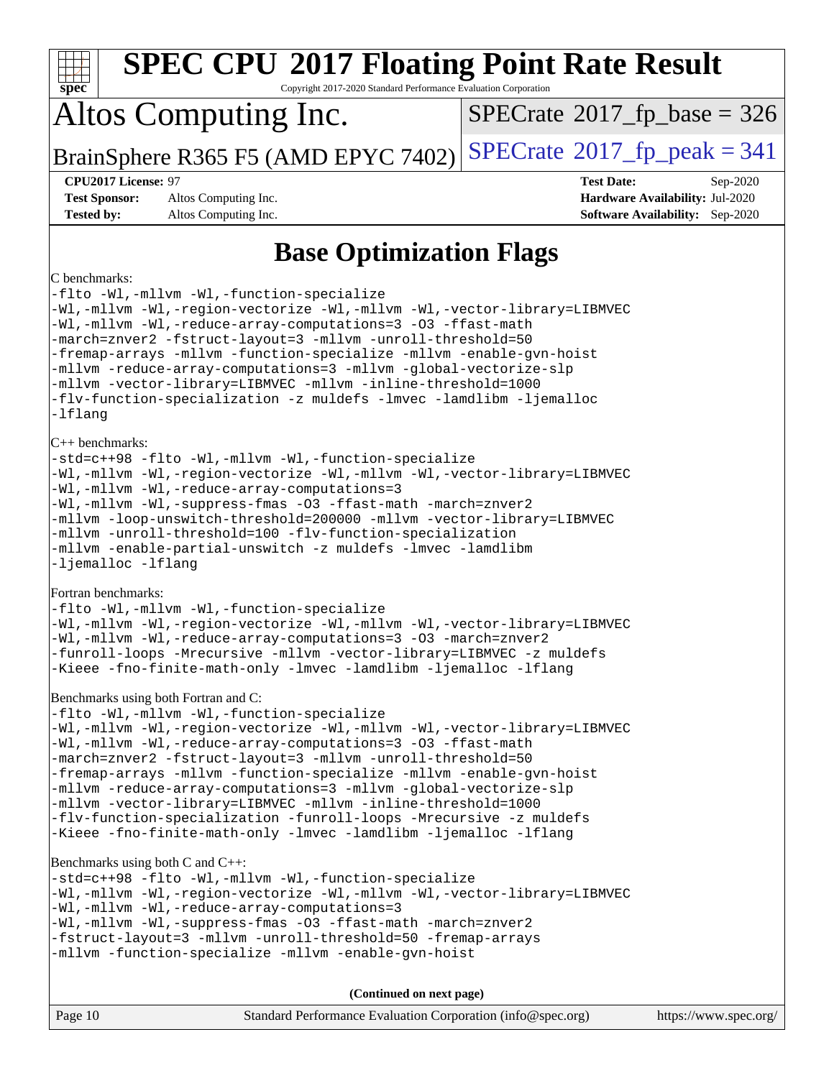| <b>SPEC CPU®2017 Floating Point Rate Result</b><br>$spec^*$<br>Copyright 2017-2020 Standard Performance Evaluation Corporation                                                                                                                                                                                                                                                                                                                                                                                                                                                                                                                  |                                                                                                            |  |  |  |  |
|-------------------------------------------------------------------------------------------------------------------------------------------------------------------------------------------------------------------------------------------------------------------------------------------------------------------------------------------------------------------------------------------------------------------------------------------------------------------------------------------------------------------------------------------------------------------------------------------------------------------------------------------------|------------------------------------------------------------------------------------------------------------|--|--|--|--|
| Altos Computing Inc.                                                                                                                                                                                                                                                                                                                                                                                                                                                                                                                                                                                                                            | $SPECrate^{\circ}2017$ [p base = 326                                                                       |  |  |  |  |
| BrainSphere R365 F5 (AMD EPYC 7402)                                                                                                                                                                                                                                                                                                                                                                                                                                                                                                                                                                                                             | $SPECrate^{\circledcirc}2017$ [p_peak = 341                                                                |  |  |  |  |
| <b>CPU2017 License: 97</b><br><b>Test Sponsor:</b><br>Altos Computing Inc.<br><b>Tested by:</b><br>Altos Computing Inc.                                                                                                                                                                                                                                                                                                                                                                                                                                                                                                                         | <b>Test Date:</b><br>Sep-2020<br>Hardware Availability: Jul-2020<br><b>Software Availability:</b> Sep-2020 |  |  |  |  |
| <b>Base Optimization Flags</b>                                                                                                                                                                                                                                                                                                                                                                                                                                                                                                                                                                                                                  |                                                                                                            |  |  |  |  |
| C benchmarks:<br>-flto -Wl,-mllvm -Wl,-function-specialize<br>-Wl,-mllvm -Wl,-region-vectorize -Wl,-mllvm -Wl,-vector-library=LIBMVEC<br>-Wl,-mllvm -Wl,-reduce-array-computations=3 -03 -ffast-math<br>-march=znver2 -fstruct-layout=3 -mllvm -unroll-threshold=50<br>-fremap-arrays -mllvm -function-specialize -mllvm -enable-gvn-hoist<br>-mllvm -reduce-array-computations=3 -mllvm -global-vectorize-slp<br>-mllvm -vector-library=LIBMVEC -mllvm -inline-threshold=1000<br>-flv-function-specialization -z muldefs -lmvec -lamdlibm -ljemalloc<br>-lflang                                                                                |                                                                                                            |  |  |  |  |
| $C++$ benchmarks:<br>-std=c++98 -flto -Wl,-mllvm -Wl,-function-specialize<br>-Wl,-mllvm -Wl,-region-vectorize -Wl,-mllvm -Wl,-vector-library=LIBMVEC<br>-Wl,-mllvm -Wl,-reduce-array-computations=3<br>-Wl,-mllvm -Wl,-suppress-fmas -O3 -ffast-math -march=znver2<br>-mllvm -loop-unswitch-threshold=200000 -mllvm -vector-library=LIBMVEC<br>-mllvm -unroll-threshold=100 -flv-function-specialization<br>-mllvm -enable-partial-unswitch -z muldefs -lmvec -lamdlibm<br>-ljemalloc -lflang                                                                                                                                                   |                                                                                                            |  |  |  |  |
| Fortran benchmarks:<br>-flto -Wl,-mllvm -Wl,-function-specialize<br>-Wl,-mllvm -Wl,-region-vectorize -Wl,-mllvm -Wl,-vector-library=LIBMVEC<br>-Wl,-mllvm -Wl,-reduce-array-computations=3 -03 -march=znver2<br>-funroll-loops -Mrecursive -mllvm -vector-library=LIBMVEC -z muldefs<br>-Kieee -fno-finite-math-only -lmvec -lamdlibm -ljemalloc -lflang                                                                                                                                                                                                                                                                                        |                                                                                                            |  |  |  |  |
| Benchmarks using both Fortran and C:<br>-flto -Wl,-mllvm -Wl,-function-specialize<br>-Wl,-mllvm -Wl,-region-vectorize -Wl,-mllvm -Wl,-vector-library=LIBMVEC<br>-Wl,-mllvm -Wl,-reduce-array-computations=3 -03 -ffast-math<br>-march=znver2 -fstruct-layout=3 -mllvm -unroll-threshold=50<br>-fremap-arrays -mllvm -function-specialize -mllvm -enable-gvn-hoist<br>-mllvm -reduce-array-computations=3 -mllvm -global-vectorize-slp<br>-mllvm -vector-library=LIBMVEC -mllvm -inline-threshold=1000<br>-flv-function-specialization -funroll-loops -Mrecursive -z muldefs<br>-Kieee -fno-finite-math-only -lmvec -lamdlibm -ljemalloc -lflang |                                                                                                            |  |  |  |  |
| Benchmarks using both C and C++:<br>-std=c++98 -flto -Wl,-mllvm -Wl,-function-specialize<br>-Wl,-mllvm -Wl,-region-vectorize -Wl,-mllvm -Wl,-vector-library=LIBMVEC<br>-Wl,-mllvm -Wl,-reduce-array-computations=3<br>-Wl,-mllvm -Wl,-suppress-fmas -O3 -ffast-math -march=znver2<br>-fstruct-layout=3 -mllvm -unroll-threshold=50 -fremap-arrays<br>-mllvm -function-specialize -mllvm -enable-gvn-hoist                                                                                                                                                                                                                                       |                                                                                                            |  |  |  |  |
| (Continued on next page)                                                                                                                                                                                                                                                                                                                                                                                                                                                                                                                                                                                                                        |                                                                                                            |  |  |  |  |
| Page 10<br>Standard Performance Evaluation Corporation (info@spec.org)                                                                                                                                                                                                                                                                                                                                                                                                                                                                                                                                                                          | https://www.spec.org/                                                                                      |  |  |  |  |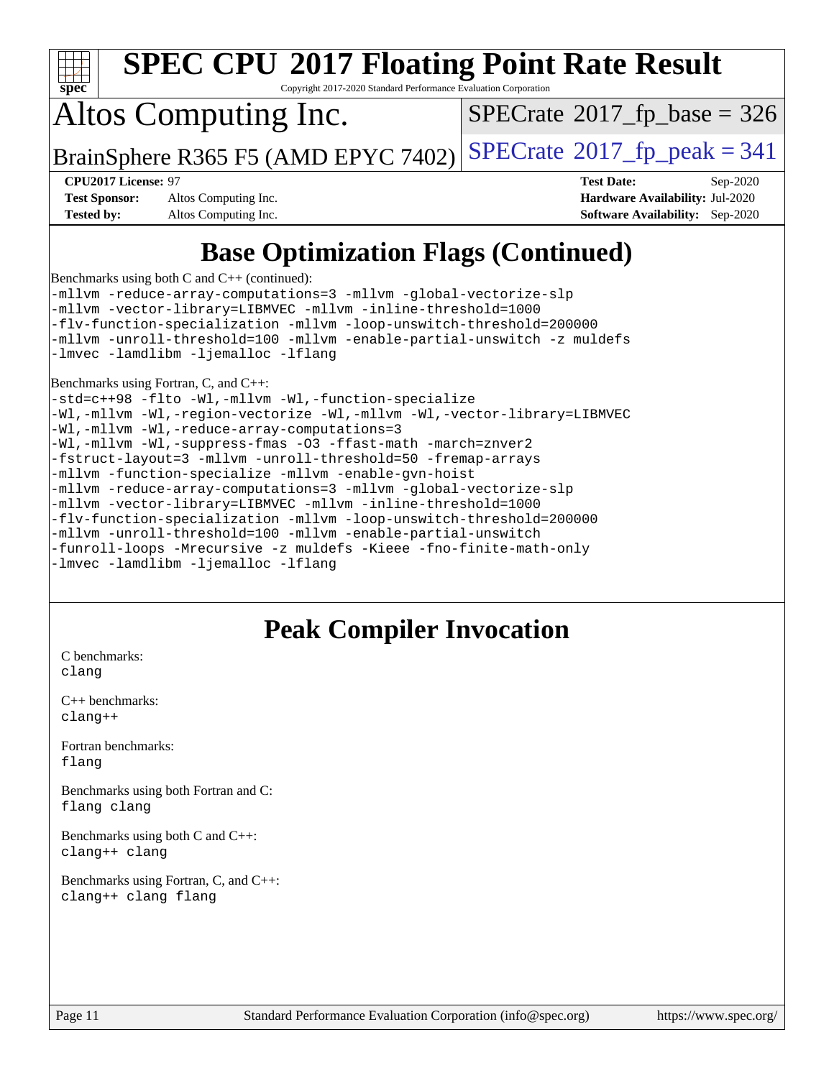

Copyright 2017-2020 Standard Performance Evaluation Corporation

## Altos Computing Inc.

 $SPECTate$ <sup>®</sup>[2017\\_fp\\_base =](http://www.spec.org/auto/cpu2017/Docs/result-fields.html#SPECrate2017fpbase) 326

BrainSphere R365 F5 (AMD EPYC 7402) [SPECrate](http://www.spec.org/auto/cpu2017/Docs/result-fields.html#SPECrate2017fppeak)<sup>®</sup>[2017\\_fp\\_peak = 3](http://www.spec.org/auto/cpu2017/Docs/result-fields.html#SPECrate2017fppeak)41

**[Test Sponsor:](http://www.spec.org/auto/cpu2017/Docs/result-fields.html#TestSponsor)** Altos Computing Inc. **[Hardware Availability:](http://www.spec.org/auto/cpu2017/Docs/result-fields.html#HardwareAvailability)** Jul-2020 **[Tested by:](http://www.spec.org/auto/cpu2017/Docs/result-fields.html#Testedby)** Altos Computing Inc. **[Software Availability:](http://www.spec.org/auto/cpu2017/Docs/result-fields.html#SoftwareAvailability)** Sep-2020

**[CPU2017 License:](http://www.spec.org/auto/cpu2017/Docs/result-fields.html#CPU2017License)** 97 **[Test Date:](http://www.spec.org/auto/cpu2017/Docs/result-fields.html#TestDate)** Sep-2020

### **[Base Optimization Flags \(Continued\)](http://www.spec.org/auto/cpu2017/Docs/result-fields.html#BaseOptimizationFlags)**

[Benchmarks using both C and C++](http://www.spec.org/auto/cpu2017/Docs/result-fields.html#BenchmarksusingbothCandCXX) (continued):

[-mllvm -reduce-array-computations=3](http://www.spec.org/cpu2017/results/res2020q4/cpu2017-20201012-24195.flags.html#user_CC_CXXbase_F-reduce-array-computations_aceadb8604558b566e0e3a0d7a3c1533923dd1fa0889614e16288028922629a28d5695c24d3b3be4306b1e311c54317dfffe3a2e57fbcaabc737a1798de39145) [-mllvm -global-vectorize-slp](http://www.spec.org/cpu2017/results/res2020q4/cpu2017-20201012-24195.flags.html#user_CC_CXXbase_F-global-vectorize-slp_a3935e8627af4ced727033b1ffd4db27f4d541a363d28d82bf4c2925fb3a0fd4115d6e42d13a2829f9e024d6608eb67a85cb49770f2da5c5ac8dbc737afad603) [-mllvm -vector-library=LIBMVEC](http://www.spec.org/cpu2017/results/res2020q4/cpu2017-20201012-24195.flags.html#user_CC_CXXbase_F-use-vector-library_e584e20b4f7ec96aa109254b65d8e01d864f3d68580371b9d93ed7c338191d4cfce20c3c864632264effc6bbe4c7c38153d02096a342ee92501c4a53204a7871) [-mllvm -inline-threshold=1000](http://www.spec.org/cpu2017/results/res2020q4/cpu2017-20201012-24195.flags.html#user_CC_CXXbase_dragonegg-llvm-inline-threshold_b7832241b0a6397e4ecdbaf0eb7defdc10f885c2a282fa3240fdc99844d543fda39cf8a4a9dccf68cf19b5438ac3b455264f478df15da0f4988afa40d8243bab) [-flv-function-specialization](http://www.spec.org/cpu2017/results/res2020q4/cpu2017-20201012-24195.flags.html#user_CC_CXXbase_F-flv-function-specialization) [-mllvm -loop-unswitch-threshold=200000](http://www.spec.org/cpu2017/results/res2020q4/cpu2017-20201012-24195.flags.html#user_CC_CXXbase_F-loop-unswitch-threshold_f9a82ae3270e55b5fbf79d0d96ee93606b73edbbe527d20b18b7bff1a3a146ad50cfc7454c5297978340ae9213029016a7d16221274d672d3f7f42ed25274e1d) [-mllvm -unroll-threshold=100](http://www.spec.org/cpu2017/results/res2020q4/cpu2017-20201012-24195.flags.html#user_CC_CXXbase_F-unroll-threshold_2755d0c78138845d361fa1543e3a063fffa198df9b3edf0cfb856bbc88a81e1769b12ac7a550c5d35197be55360db1a3f95a8d1304df999456cabf5120c45168) [-mllvm -enable-partial-unswitch](http://www.spec.org/cpu2017/results/res2020q4/cpu2017-20201012-24195.flags.html#user_CC_CXXbase_F-enable-partial-unswitch_6e1c33f981d77963b1eaf834973128a7f33ce3f8e27f54689656697a35e89dcc875281e0e6283d043e32f367dcb605ba0e307a92e830f7e326789fa6c61b35d3) [-z muldefs](http://www.spec.org/cpu2017/results/res2020q4/cpu2017-20201012-24195.flags.html#user_CC_CXXbase_aocc-muldefs) [-lmvec](http://www.spec.org/cpu2017/results/res2020q4/cpu2017-20201012-24195.flags.html#user_CC_CXXbase_F-lmvec) [-lamdlibm](http://www.spec.org/cpu2017/results/res2020q4/cpu2017-20201012-24195.flags.html#user_CC_CXXbase_F-lamdlibm) [-ljemalloc](http://www.spec.org/cpu2017/results/res2020q4/cpu2017-20201012-24195.flags.html#user_CC_CXXbase_jemalloc-lib) [-lflang](http://www.spec.org/cpu2017/results/res2020q4/cpu2017-20201012-24195.flags.html#user_CC_CXXbase_F-lflang)

[Benchmarks using Fortran, C, and C++:](http://www.spec.org/auto/cpu2017/Docs/result-fields.html#BenchmarksusingFortranCandCXX)

[-std=c++98](http://www.spec.org/cpu2017/results/res2020q4/cpu2017-20201012-24195.flags.html#user_CC_CXX_FCbase_std-cpp) [-flto](http://www.spec.org/cpu2017/results/res2020q4/cpu2017-20201012-24195.flags.html#user_CC_CXX_FCbase_aocc-flto) [-Wl,-mllvm -Wl,-function-specialize](http://www.spec.org/cpu2017/results/res2020q4/cpu2017-20201012-24195.flags.html#user_CC_CXX_FCbase_F-function-specialize_7e7e661e57922243ee67c9a1251cb8910e607325179a0ce7f2884e09a6f5d4a5ef0ae4f37e8a2a11c95fc48e931f06dc2b6016f14b511fcb441e048bef1b065a) [-Wl,-mllvm -Wl,-region-vectorize](http://www.spec.org/cpu2017/results/res2020q4/cpu2017-20201012-24195.flags.html#user_CC_CXX_FCbase_F-region-vectorize_fb6c6b5aa293c88efc6c7c2b52b20755e943585b1fe8658c35afef78727fff56e1a56891413c30e36b8e2a6f9a71126986319243e80eb6110b78b288f533c52b) [-Wl,-mllvm -Wl,-vector-library=LIBMVEC](http://www.spec.org/cpu2017/results/res2020q4/cpu2017-20201012-24195.flags.html#user_CC_CXX_FCbase_F-use-vector-library_0a14b27fae317f283640384a31f7bfcc2bd4c1d0b5cfc618a3a430800c9b20217b00f61303eff223a3251b4f06ffbc9739dc5296db9d1fbb9ad24a3939d86d66) [-Wl,-mllvm -Wl,-reduce-array-computations=3](http://www.spec.org/cpu2017/results/res2020q4/cpu2017-20201012-24195.flags.html#user_CC_CXX_FCbase_F-reduce-array-computations_b882aefe7a5dda4e33149f6299762b9a720dace3e498e13756f4c04e5a19edf5315c1f3993de2e61ec41e8c206231f84e05da7040e1bb5d69ba27d10a12507e4) [-Wl,-mllvm -Wl,-suppress-fmas](http://www.spec.org/cpu2017/results/res2020q4/cpu2017-20201012-24195.flags.html#user_CC_CXX_FCbase_F-suppress-fmas_f00f00630e4a059e8af9c161e9bbf420bcf19890a7f99d5933525e66aa4b0bb3ab2339d2b12d97d3a5f5d271e839fe9c109938e91fe06230fb53651590cfa1e8) [-O3](http://www.spec.org/cpu2017/results/res2020q4/cpu2017-20201012-24195.flags.html#user_CC_CXX_FCbase_F-O3) [-ffast-math](http://www.spec.org/cpu2017/results/res2020q4/cpu2017-20201012-24195.flags.html#user_CC_CXX_FCbase_aocc-ffast-math) [-march=znver2](http://www.spec.org/cpu2017/results/res2020q4/cpu2017-20201012-24195.flags.html#user_CC_CXX_FCbase_aocc-march_3e2e19cff2eeef60c5d90b059483627c9ea47eca6d66670dbd53f9185f6439e27eb5e104cf773e9e8ab18c8842ce63e461a3e948d0214bd567ef3ade411bf467) [-fstruct-layout=3](http://www.spec.org/cpu2017/results/res2020q4/cpu2017-20201012-24195.flags.html#user_CC_CXX_FCbase_F-struct-layout) [-mllvm -unroll-threshold=50](http://www.spec.org/cpu2017/results/res2020q4/cpu2017-20201012-24195.flags.html#user_CC_CXX_FCbase_F-unroll-threshold_458874500b2c105d6d5cb4d7a611c40e2b16e9e3d26b355fea72d644c3673b4de4b3932662f0ed3dbec75c491a13da2d2ca81180bd779dc531083ef1e1e549dc) [-fremap-arrays](http://www.spec.org/cpu2017/results/res2020q4/cpu2017-20201012-24195.flags.html#user_CC_CXX_FCbase_F-fremap-arrays) [-mllvm -function-specialize](http://www.spec.org/cpu2017/results/res2020q4/cpu2017-20201012-24195.flags.html#user_CC_CXX_FCbase_F-function-specialize_233b3bdba86027f1b094368157e481c5bc59f40286dc25bfadc1858dcd5745c24fd30d5f188710db7fea399bcc9f44a80b3ce3aacc70a8870250c3ae5e1f35b8) [-mllvm -enable-gvn-hoist](http://www.spec.org/cpu2017/results/res2020q4/cpu2017-20201012-24195.flags.html#user_CC_CXX_FCbase_F-enable-gvn-hoist_e5856354646dd6ca1333a0ad99b817e4cf8932b91b82809fd8fd47ceff7b22a89eba5c98fd3e3fa5200368fd772cec3dd56abc3c8f7b655a71b9f9848dddedd5) [-mllvm -reduce-array-computations=3](http://www.spec.org/cpu2017/results/res2020q4/cpu2017-20201012-24195.flags.html#user_CC_CXX_FCbase_F-reduce-array-computations_aceadb8604558b566e0e3a0d7a3c1533923dd1fa0889614e16288028922629a28d5695c24d3b3be4306b1e311c54317dfffe3a2e57fbcaabc737a1798de39145) [-mllvm -global-vectorize-slp](http://www.spec.org/cpu2017/results/res2020q4/cpu2017-20201012-24195.flags.html#user_CC_CXX_FCbase_F-global-vectorize-slp_a3935e8627af4ced727033b1ffd4db27f4d541a363d28d82bf4c2925fb3a0fd4115d6e42d13a2829f9e024d6608eb67a85cb49770f2da5c5ac8dbc737afad603) [-mllvm -vector-library=LIBMVEC](http://www.spec.org/cpu2017/results/res2020q4/cpu2017-20201012-24195.flags.html#user_CC_CXX_FCbase_F-use-vector-library_e584e20b4f7ec96aa109254b65d8e01d864f3d68580371b9d93ed7c338191d4cfce20c3c864632264effc6bbe4c7c38153d02096a342ee92501c4a53204a7871) [-mllvm -inline-threshold=1000](http://www.spec.org/cpu2017/results/res2020q4/cpu2017-20201012-24195.flags.html#user_CC_CXX_FCbase_dragonegg-llvm-inline-threshold_b7832241b0a6397e4ecdbaf0eb7defdc10f885c2a282fa3240fdc99844d543fda39cf8a4a9dccf68cf19b5438ac3b455264f478df15da0f4988afa40d8243bab) [-flv-function-specialization](http://www.spec.org/cpu2017/results/res2020q4/cpu2017-20201012-24195.flags.html#user_CC_CXX_FCbase_F-flv-function-specialization) [-mllvm -loop-unswitch-threshold=200000](http://www.spec.org/cpu2017/results/res2020q4/cpu2017-20201012-24195.flags.html#user_CC_CXX_FCbase_F-loop-unswitch-threshold_f9a82ae3270e55b5fbf79d0d96ee93606b73edbbe527d20b18b7bff1a3a146ad50cfc7454c5297978340ae9213029016a7d16221274d672d3f7f42ed25274e1d) [-mllvm -unroll-threshold=100](http://www.spec.org/cpu2017/results/res2020q4/cpu2017-20201012-24195.flags.html#user_CC_CXX_FCbase_F-unroll-threshold_2755d0c78138845d361fa1543e3a063fffa198df9b3edf0cfb856bbc88a81e1769b12ac7a550c5d35197be55360db1a3f95a8d1304df999456cabf5120c45168) [-mllvm -enable-partial-unswitch](http://www.spec.org/cpu2017/results/res2020q4/cpu2017-20201012-24195.flags.html#user_CC_CXX_FCbase_F-enable-partial-unswitch_6e1c33f981d77963b1eaf834973128a7f33ce3f8e27f54689656697a35e89dcc875281e0e6283d043e32f367dcb605ba0e307a92e830f7e326789fa6c61b35d3) [-funroll-loops](http://www.spec.org/cpu2017/results/res2020q4/cpu2017-20201012-24195.flags.html#user_CC_CXX_FCbase_aocc-unroll-loops) [-Mrecursive](http://www.spec.org/cpu2017/results/res2020q4/cpu2017-20201012-24195.flags.html#user_CC_CXX_FCbase_F-mrecursive_20a145d63f12d5750a899e17d4450b5b8b40330a9bb4af13688ca650e6fb30857bbbe44fb35cdbb895df6e5b2769de0a0d7659f51ff17acfbef6febafec4023f) [-z muldefs](http://www.spec.org/cpu2017/results/res2020q4/cpu2017-20201012-24195.flags.html#user_CC_CXX_FCbase_aocc-muldefs) [-Kieee](http://www.spec.org/cpu2017/results/res2020q4/cpu2017-20201012-24195.flags.html#user_CC_CXX_FCbase_F-kieee) [-fno-finite-math-only](http://www.spec.org/cpu2017/results/res2020q4/cpu2017-20201012-24195.flags.html#user_CC_CXX_FCbase_aocc-fno-finite-math-only) [-lmvec](http://www.spec.org/cpu2017/results/res2020q4/cpu2017-20201012-24195.flags.html#user_CC_CXX_FCbase_F-lmvec) [-lamdlibm](http://www.spec.org/cpu2017/results/res2020q4/cpu2017-20201012-24195.flags.html#user_CC_CXX_FCbase_F-lamdlibm) [-ljemalloc](http://www.spec.org/cpu2017/results/res2020q4/cpu2017-20201012-24195.flags.html#user_CC_CXX_FCbase_jemalloc-lib) [-lflang](http://www.spec.org/cpu2017/results/res2020q4/cpu2017-20201012-24195.flags.html#user_CC_CXX_FCbase_F-lflang)

### **[Peak Compiler Invocation](http://www.spec.org/auto/cpu2017/Docs/result-fields.html#PeakCompilerInvocation)**

[C benchmarks](http://www.spec.org/auto/cpu2017/Docs/result-fields.html#Cbenchmarks): [clang](http://www.spec.org/cpu2017/results/res2020q4/cpu2017-20201012-24195.flags.html#user_CCpeak_clang-c)

[C++ benchmarks:](http://www.spec.org/auto/cpu2017/Docs/result-fields.html#CXXbenchmarks) [clang++](http://www.spec.org/cpu2017/results/res2020q4/cpu2017-20201012-24195.flags.html#user_CXXpeak_clang-cpp)

[Fortran benchmarks](http://www.spec.org/auto/cpu2017/Docs/result-fields.html#Fortranbenchmarks): [flang](http://www.spec.org/cpu2017/results/res2020q4/cpu2017-20201012-24195.flags.html#user_FCpeak_flang)

[Benchmarks using both Fortran and C](http://www.spec.org/auto/cpu2017/Docs/result-fields.html#BenchmarksusingbothFortranandC): [flang](http://www.spec.org/cpu2017/results/res2020q4/cpu2017-20201012-24195.flags.html#user_CC_FCpeak_flang) [clang](http://www.spec.org/cpu2017/results/res2020q4/cpu2017-20201012-24195.flags.html#user_CC_FCpeak_clang-c)

[Benchmarks using both C and C++](http://www.spec.org/auto/cpu2017/Docs/result-fields.html#BenchmarksusingbothCandCXX): [clang++](http://www.spec.org/cpu2017/results/res2020q4/cpu2017-20201012-24195.flags.html#user_CC_CXXpeak_clang-cpp) [clang](http://www.spec.org/cpu2017/results/res2020q4/cpu2017-20201012-24195.flags.html#user_CC_CXXpeak_clang-c)

[Benchmarks using Fortran, C, and C++:](http://www.spec.org/auto/cpu2017/Docs/result-fields.html#BenchmarksusingFortranCandCXX) [clang++](http://www.spec.org/cpu2017/results/res2020q4/cpu2017-20201012-24195.flags.html#user_CC_CXX_FCpeak_clang-cpp) [clang](http://www.spec.org/cpu2017/results/res2020q4/cpu2017-20201012-24195.flags.html#user_CC_CXX_FCpeak_clang-c) [flang](http://www.spec.org/cpu2017/results/res2020q4/cpu2017-20201012-24195.flags.html#user_CC_CXX_FCpeak_flang)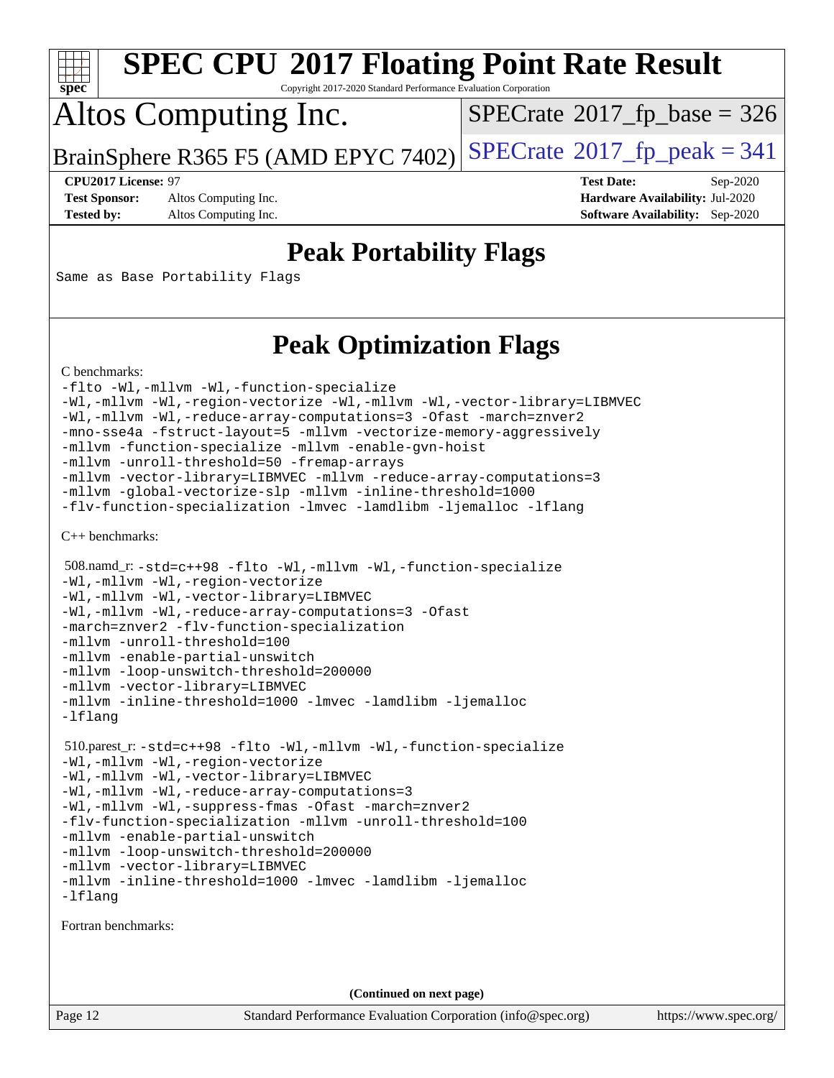

Copyright 2017-2020 Standard Performance Evaluation Corporation

## Altos Computing Inc.

 $SPECTate$ <sup>®</sup>[2017\\_fp\\_base =](http://www.spec.org/auto/cpu2017/Docs/result-fields.html#SPECrate2017fpbase) 326

BrainSphere R365 F5 (AMD EPYC 7402) [SPECrate](http://www.spec.org/auto/cpu2017/Docs/result-fields.html#SPECrate2017fppeak)<sup>®</sup>[2017\\_fp\\_peak = 3](http://www.spec.org/auto/cpu2017/Docs/result-fields.html#SPECrate2017fppeak)41

**[Test Sponsor:](http://www.spec.org/auto/cpu2017/Docs/result-fields.html#TestSponsor)** Altos Computing Inc. **[Hardware Availability:](http://www.spec.org/auto/cpu2017/Docs/result-fields.html#HardwareAvailability)** Jul-2020

**[CPU2017 License:](http://www.spec.org/auto/cpu2017/Docs/result-fields.html#CPU2017License)** 97 **[Test Date:](http://www.spec.org/auto/cpu2017/Docs/result-fields.html#TestDate)** Sep-2020 **[Tested by:](http://www.spec.org/auto/cpu2017/Docs/result-fields.html#Testedby)** Altos Computing Inc. **[Software Availability:](http://www.spec.org/auto/cpu2017/Docs/result-fields.html#SoftwareAvailability)** Sep-2020

### **[Peak Portability Flags](http://www.spec.org/auto/cpu2017/Docs/result-fields.html#PeakPortabilityFlags)**

Same as Base Portability Flags

### **[Peak Optimization Flags](http://www.spec.org/auto/cpu2017/Docs/result-fields.html#PeakOptimizationFlags)**

[C benchmarks](http://www.spec.org/auto/cpu2017/Docs/result-fields.html#Cbenchmarks):

```
-flto -Wl,-mllvm -Wl,-function-specialize
-Wl,-mllvm -Wl,-region-vectorize -Wl,-mllvm -Wl,-vector-library=LIBMVEC
-Wl,-mllvm -Wl,-reduce-array-computations=3 -Ofast -march=znver2
-mno-sse4a -fstruct-layout=5 -mllvm -vectorize-memory-aggressively
-mllvm -function-specialize -mllvm -enable-gvn-hoist
-mllvm -unroll-threshold=50 -fremap-arrays
-mllvm -vector-library=LIBMVEC -mllvm -reduce-array-computations=3
-mllvm -global-vectorize-slp -mllvm -inline-threshold=1000
-flv-function-specialization -lmvec -lamdlibm -ljemalloc -lflang
```
[C++ benchmarks:](http://www.spec.org/auto/cpu2017/Docs/result-fields.html#CXXbenchmarks)

```
 508.namd_r: -std=c++98 -flto -Wl,-mllvm -Wl,-function-specialize
-Wl,-mllvm -Wl,-region-vectorize
-Wl,-mllvm -Wl,-vector-library=LIBMVEC
-Wl,-mllvm -Wl,-reduce-array-computations=3 -Ofast
-march=znver2 -flv-function-specialization
-mllvm -unroll-threshold=100
-mllvm -enable-partial-unswitch
-mllvm -loop-unswitch-threshold=200000
-mllvm -vector-library=LIBMVEC
-mllvm -inline-threshold=1000 -lmvec -lamdlibm -ljemalloc
-lflang
 510.parest_r: -std=c++98 -flto -Wl,-mllvm -Wl,-function-specialize
-Wl,-mllvm -Wl,-region-vectorize
-Wl,-mllvm -Wl,-vector-library=LIBMVEC
-Wl,-mllvm -Wl,-reduce-array-computations=3
-Wl,-mllvm -Wl,-suppress-fmas -Ofast -march=znver2
-flv-function-specialization -mllvm -unroll-threshold=100
-mllvm -enable-partial-unswitch
-mllvm -loop-unswitch-threshold=200000
-mllvm -vector-library=LIBMVEC
-mllvm -inline-threshold=1000 -lmvec -lamdlibm -ljemalloc
-lflang
```
[Fortran benchmarks](http://www.spec.org/auto/cpu2017/Docs/result-fields.html#Fortranbenchmarks):

**(Continued on next page)**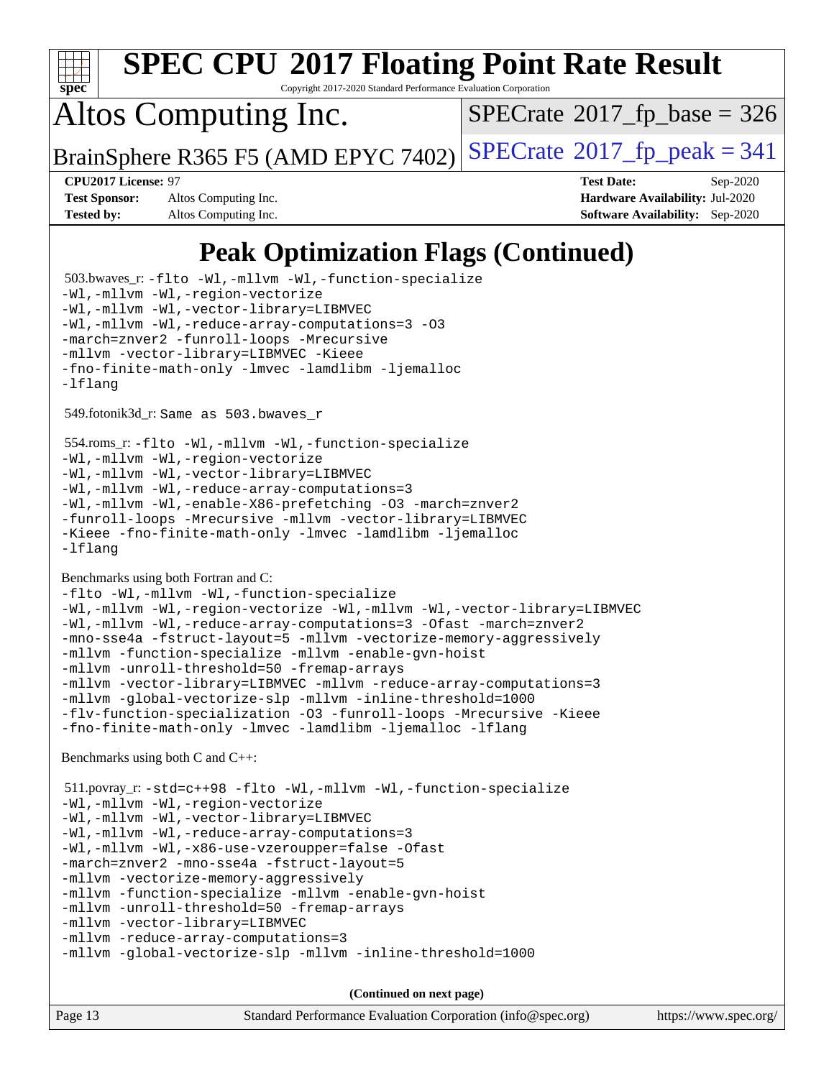

Copyright 2017-2020 Standard Performance Evaluation Corporation

## Altos Computing Inc.

 $SPECTate$ <sup>®</sup>[2017\\_fp\\_base =](http://www.spec.org/auto/cpu2017/Docs/result-fields.html#SPECrate2017fpbase) 326

BrainSphere R365 F5 (AMD EPYC 7402) [SPECrate](http://www.spec.org/auto/cpu2017/Docs/result-fields.html#SPECrate2017fppeak)<sup>®</sup>[2017\\_fp\\_peak = 3](http://www.spec.org/auto/cpu2017/Docs/result-fields.html#SPECrate2017fppeak)41

**[Test Sponsor:](http://www.spec.org/auto/cpu2017/Docs/result-fields.html#TestSponsor)** Altos Computing Inc. **[Hardware Availability:](http://www.spec.org/auto/cpu2017/Docs/result-fields.html#HardwareAvailability)** Jul-2020 **[Tested by:](http://www.spec.org/auto/cpu2017/Docs/result-fields.html#Testedby)** Altos Computing Inc. **[Software Availability:](http://www.spec.org/auto/cpu2017/Docs/result-fields.html#SoftwareAvailability)** Sep-2020

**[CPU2017 License:](http://www.spec.org/auto/cpu2017/Docs/result-fields.html#CPU2017License)** 97 **[Test Date:](http://www.spec.org/auto/cpu2017/Docs/result-fields.html#TestDate)** Sep-2020

### **[Peak Optimization Flags \(Continued\)](http://www.spec.org/auto/cpu2017/Docs/result-fields.html#PeakOptimizationFlags)**

Page 13 Standard Performance Evaluation Corporation [\(info@spec.org\)](mailto:info@spec.org) <https://www.spec.org/> 503.bwaves\_r: [-flto](http://www.spec.org/cpu2017/results/res2020q4/cpu2017-20201012-24195.flags.html#user_peakFOPTIMIZELDFLAGS503_bwaves_r_aocc-flto) [-Wl,-mllvm -Wl,-function-specialize](http://www.spec.org/cpu2017/results/res2020q4/cpu2017-20201012-24195.flags.html#user_peakLDFLAGS503_bwaves_r_F-function-specialize_7e7e661e57922243ee67c9a1251cb8910e607325179a0ce7f2884e09a6f5d4a5ef0ae4f37e8a2a11c95fc48e931f06dc2b6016f14b511fcb441e048bef1b065a) [-Wl,-mllvm -Wl,-region-vectorize](http://www.spec.org/cpu2017/results/res2020q4/cpu2017-20201012-24195.flags.html#user_peakLDFLAGS503_bwaves_r_F-region-vectorize_fb6c6b5aa293c88efc6c7c2b52b20755e943585b1fe8658c35afef78727fff56e1a56891413c30e36b8e2a6f9a71126986319243e80eb6110b78b288f533c52b) [-Wl,-mllvm -Wl,-vector-library=LIBMVEC](http://www.spec.org/cpu2017/results/res2020q4/cpu2017-20201012-24195.flags.html#user_peakLDFLAGS503_bwaves_r_F-use-vector-library_0a14b27fae317f283640384a31f7bfcc2bd4c1d0b5cfc618a3a430800c9b20217b00f61303eff223a3251b4f06ffbc9739dc5296db9d1fbb9ad24a3939d86d66) [-Wl,-mllvm -Wl,-reduce-array-computations=3](http://www.spec.org/cpu2017/results/res2020q4/cpu2017-20201012-24195.flags.html#user_peakLDFLAGS503_bwaves_r_F-reduce-array-computations_b882aefe7a5dda4e33149f6299762b9a720dace3e498e13756f4c04e5a19edf5315c1f3993de2e61ec41e8c206231f84e05da7040e1bb5d69ba27d10a12507e4) [-O3](http://www.spec.org/cpu2017/results/res2020q4/cpu2017-20201012-24195.flags.html#user_peakFOPTIMIZE503_bwaves_r_F-O3) [-march=znver2](http://www.spec.org/cpu2017/results/res2020q4/cpu2017-20201012-24195.flags.html#user_peakFOPTIMIZE503_bwaves_r_aocc-march_3e2e19cff2eeef60c5d90b059483627c9ea47eca6d66670dbd53f9185f6439e27eb5e104cf773e9e8ab18c8842ce63e461a3e948d0214bd567ef3ade411bf467) [-funroll-loops](http://www.spec.org/cpu2017/results/res2020q4/cpu2017-20201012-24195.flags.html#user_peakFOPTIMIZE503_bwaves_r_aocc-unroll-loops) [-Mrecursive](http://www.spec.org/cpu2017/results/res2020q4/cpu2017-20201012-24195.flags.html#user_peakFOPTIMIZE503_bwaves_r_F-mrecursive_20a145d63f12d5750a899e17d4450b5b8b40330a9bb4af13688ca650e6fb30857bbbe44fb35cdbb895df6e5b2769de0a0d7659f51ff17acfbef6febafec4023f) [-mllvm -vector-library=LIBMVEC](http://www.spec.org/cpu2017/results/res2020q4/cpu2017-20201012-24195.flags.html#user_peakFOPTIMIZE503_bwaves_r_F-use-vector-library_e584e20b4f7ec96aa109254b65d8e01d864f3d68580371b9d93ed7c338191d4cfce20c3c864632264effc6bbe4c7c38153d02096a342ee92501c4a53204a7871) [-Kieee](http://www.spec.org/cpu2017/results/res2020q4/cpu2017-20201012-24195.flags.html#user_peakEXTRA_FFLAGS503_bwaves_r_F-kieee) [-fno-finite-math-only](http://www.spec.org/cpu2017/results/res2020q4/cpu2017-20201012-24195.flags.html#user_peakEXTRA_FFLAGS503_bwaves_r_aocc-fno-finite-math-only) [-lmvec](http://www.spec.org/cpu2017/results/res2020q4/cpu2017-20201012-24195.flags.html#user_peakEXTRA_FLIBSEXTRA_LIBS503_bwaves_r_F-lmvec) [-lamdlibm](http://www.spec.org/cpu2017/results/res2020q4/cpu2017-20201012-24195.flags.html#user_peakEXTRA_FLIBSEXTRA_LIBS503_bwaves_r_F-lamdlibm) [-ljemalloc](http://www.spec.org/cpu2017/results/res2020q4/cpu2017-20201012-24195.flags.html#user_peakEXTRA_LIBS503_bwaves_r_jemalloc-lib) [-lflang](http://www.spec.org/cpu2017/results/res2020q4/cpu2017-20201012-24195.flags.html#user_peakEXTRA_LIBS503_bwaves_r_F-lflang) 549.fotonik3d\_r: Same as 503.bwaves\_r 554.roms\_r: [-flto](http://www.spec.org/cpu2017/results/res2020q4/cpu2017-20201012-24195.flags.html#user_peakFOPTIMIZELDFLAGS554_roms_r_aocc-flto) [-Wl,-mllvm -Wl,-function-specialize](http://www.spec.org/cpu2017/results/res2020q4/cpu2017-20201012-24195.flags.html#user_peakLDFLAGS554_roms_r_F-function-specialize_7e7e661e57922243ee67c9a1251cb8910e607325179a0ce7f2884e09a6f5d4a5ef0ae4f37e8a2a11c95fc48e931f06dc2b6016f14b511fcb441e048bef1b065a) [-Wl,-mllvm -Wl,-region-vectorize](http://www.spec.org/cpu2017/results/res2020q4/cpu2017-20201012-24195.flags.html#user_peakLDFLAGS554_roms_r_F-region-vectorize_fb6c6b5aa293c88efc6c7c2b52b20755e943585b1fe8658c35afef78727fff56e1a56891413c30e36b8e2a6f9a71126986319243e80eb6110b78b288f533c52b) [-Wl,-mllvm -Wl,-vector-library=LIBMVEC](http://www.spec.org/cpu2017/results/res2020q4/cpu2017-20201012-24195.flags.html#user_peakLDFLAGS554_roms_r_F-use-vector-library_0a14b27fae317f283640384a31f7bfcc2bd4c1d0b5cfc618a3a430800c9b20217b00f61303eff223a3251b4f06ffbc9739dc5296db9d1fbb9ad24a3939d86d66) [-Wl,-mllvm -Wl,-reduce-array-computations=3](http://www.spec.org/cpu2017/results/res2020q4/cpu2017-20201012-24195.flags.html#user_peakLDFLAGS554_roms_r_F-reduce-array-computations_b882aefe7a5dda4e33149f6299762b9a720dace3e498e13756f4c04e5a19edf5315c1f3993de2e61ec41e8c206231f84e05da7040e1bb5d69ba27d10a12507e4) [-Wl,-mllvm -Wl,-enable-X86-prefetching](http://www.spec.org/cpu2017/results/res2020q4/cpu2017-20201012-24195.flags.html#user_peakLDFFLAGS554_roms_r_F-enable-X86-prefetching_362de7b2f7f327d498ff3502bcaa6d8937de40fbbc59a600e539433e6b2cb9ea5e30d4a00c3465ce74a160670b5fcaffd57d10fdc90b0d7ee2c6f387a6bf1aee) [-O3](http://www.spec.org/cpu2017/results/res2020q4/cpu2017-20201012-24195.flags.html#user_peakFOPTIMIZE554_roms_r_F-O3) [-march=znver2](http://www.spec.org/cpu2017/results/res2020q4/cpu2017-20201012-24195.flags.html#user_peakFOPTIMIZE554_roms_r_aocc-march_3e2e19cff2eeef60c5d90b059483627c9ea47eca6d66670dbd53f9185f6439e27eb5e104cf773e9e8ab18c8842ce63e461a3e948d0214bd567ef3ade411bf467) [-funroll-loops](http://www.spec.org/cpu2017/results/res2020q4/cpu2017-20201012-24195.flags.html#user_peakFOPTIMIZE554_roms_r_aocc-unroll-loops) [-Mrecursive](http://www.spec.org/cpu2017/results/res2020q4/cpu2017-20201012-24195.flags.html#user_peakFOPTIMIZE554_roms_r_F-mrecursive_20a145d63f12d5750a899e17d4450b5b8b40330a9bb4af13688ca650e6fb30857bbbe44fb35cdbb895df6e5b2769de0a0d7659f51ff17acfbef6febafec4023f) [-mllvm -vector-library=LIBMVEC](http://www.spec.org/cpu2017/results/res2020q4/cpu2017-20201012-24195.flags.html#user_peakFOPTIMIZE554_roms_r_F-use-vector-library_e584e20b4f7ec96aa109254b65d8e01d864f3d68580371b9d93ed7c338191d4cfce20c3c864632264effc6bbe4c7c38153d02096a342ee92501c4a53204a7871) [-Kieee](http://www.spec.org/cpu2017/results/res2020q4/cpu2017-20201012-24195.flags.html#user_peakEXTRA_FFLAGS554_roms_r_F-kieee) [-fno-finite-math-only](http://www.spec.org/cpu2017/results/res2020q4/cpu2017-20201012-24195.flags.html#user_peakEXTRA_FFLAGS554_roms_r_aocc-fno-finite-math-only) [-lmvec](http://www.spec.org/cpu2017/results/res2020q4/cpu2017-20201012-24195.flags.html#user_peakEXTRA_FLIBSEXTRA_LIBS554_roms_r_F-lmvec) [-lamdlibm](http://www.spec.org/cpu2017/results/res2020q4/cpu2017-20201012-24195.flags.html#user_peakEXTRA_FLIBSEXTRA_LIBS554_roms_r_F-lamdlibm) [-ljemalloc](http://www.spec.org/cpu2017/results/res2020q4/cpu2017-20201012-24195.flags.html#user_peakEXTRA_LIBS554_roms_r_jemalloc-lib) [-lflang](http://www.spec.org/cpu2017/results/res2020q4/cpu2017-20201012-24195.flags.html#user_peakEXTRA_LIBS554_roms_r_F-lflang) [Benchmarks using both Fortran and C](http://www.spec.org/auto/cpu2017/Docs/result-fields.html#BenchmarksusingbothFortranandC): [-flto](http://www.spec.org/cpu2017/results/res2020q4/cpu2017-20201012-24195.flags.html#user_CC_FCpeak_aocc-flto) [-Wl,-mllvm -Wl,-function-specialize](http://www.spec.org/cpu2017/results/res2020q4/cpu2017-20201012-24195.flags.html#user_CC_FCpeak_F-function-specialize_7e7e661e57922243ee67c9a1251cb8910e607325179a0ce7f2884e09a6f5d4a5ef0ae4f37e8a2a11c95fc48e931f06dc2b6016f14b511fcb441e048bef1b065a) [-Wl,-mllvm -Wl,-region-vectorize](http://www.spec.org/cpu2017/results/res2020q4/cpu2017-20201012-24195.flags.html#user_CC_FCpeak_F-region-vectorize_fb6c6b5aa293c88efc6c7c2b52b20755e943585b1fe8658c35afef78727fff56e1a56891413c30e36b8e2a6f9a71126986319243e80eb6110b78b288f533c52b) [-Wl,-mllvm -Wl,-vector-library=LIBMVEC](http://www.spec.org/cpu2017/results/res2020q4/cpu2017-20201012-24195.flags.html#user_CC_FCpeak_F-use-vector-library_0a14b27fae317f283640384a31f7bfcc2bd4c1d0b5cfc618a3a430800c9b20217b00f61303eff223a3251b4f06ffbc9739dc5296db9d1fbb9ad24a3939d86d66) [-Wl,-mllvm -Wl,-reduce-array-computations=3](http://www.spec.org/cpu2017/results/res2020q4/cpu2017-20201012-24195.flags.html#user_CC_FCpeak_F-reduce-array-computations_b882aefe7a5dda4e33149f6299762b9a720dace3e498e13756f4c04e5a19edf5315c1f3993de2e61ec41e8c206231f84e05da7040e1bb5d69ba27d10a12507e4) [-Ofast](http://www.spec.org/cpu2017/results/res2020q4/cpu2017-20201012-24195.flags.html#user_CC_FCpeak_aocc-Ofast) [-march=znver2](http://www.spec.org/cpu2017/results/res2020q4/cpu2017-20201012-24195.flags.html#user_CC_FCpeak_aocc-march_3e2e19cff2eeef60c5d90b059483627c9ea47eca6d66670dbd53f9185f6439e27eb5e104cf773e9e8ab18c8842ce63e461a3e948d0214bd567ef3ade411bf467) [-mno-sse4a](http://www.spec.org/cpu2017/results/res2020q4/cpu2017-20201012-24195.flags.html#user_CC_FCpeak_F-mno-sse4a) [-fstruct-layout=5](http://www.spec.org/cpu2017/results/res2020q4/cpu2017-20201012-24195.flags.html#user_CC_FCpeak_F-struct-layout_0de9d3561e9f54a54e0843cce081bd13a08ab3e9a82696f3346606c2e11360c37113781019b02fa128d9f650e68f1ffd209bab5c3a026c1ad23e4e7f60646b23) [-mllvm -vectorize-memory-aggressively](http://www.spec.org/cpu2017/results/res2020q4/cpu2017-20201012-24195.flags.html#user_CC_FCpeak_F-vectorize-memory-aggressively_24b72a4417f50ade9e698c5b3bed87ab456cc6fc8ec6439480cb84f36ad6a3975af6e87206dea402e3871a1464ff3d60bc798e0250f330177ba629a260df1857) [-mllvm -function-specialize](http://www.spec.org/cpu2017/results/res2020q4/cpu2017-20201012-24195.flags.html#user_CC_FCpeak_F-function-specialize_233b3bdba86027f1b094368157e481c5bc59f40286dc25bfadc1858dcd5745c24fd30d5f188710db7fea399bcc9f44a80b3ce3aacc70a8870250c3ae5e1f35b8) [-mllvm -enable-gvn-hoist](http://www.spec.org/cpu2017/results/res2020q4/cpu2017-20201012-24195.flags.html#user_CC_FCpeak_F-enable-gvn-hoist_e5856354646dd6ca1333a0ad99b817e4cf8932b91b82809fd8fd47ceff7b22a89eba5c98fd3e3fa5200368fd772cec3dd56abc3c8f7b655a71b9f9848dddedd5) [-mllvm -unroll-threshold=50](http://www.spec.org/cpu2017/results/res2020q4/cpu2017-20201012-24195.flags.html#user_CC_FCpeak_F-unroll-threshold_458874500b2c105d6d5cb4d7a611c40e2b16e9e3d26b355fea72d644c3673b4de4b3932662f0ed3dbec75c491a13da2d2ca81180bd779dc531083ef1e1e549dc) [-fremap-arrays](http://www.spec.org/cpu2017/results/res2020q4/cpu2017-20201012-24195.flags.html#user_CC_FCpeak_F-fremap-arrays) [-mllvm -vector-library=LIBMVEC](http://www.spec.org/cpu2017/results/res2020q4/cpu2017-20201012-24195.flags.html#user_CC_FCpeak_F-use-vector-library_e584e20b4f7ec96aa109254b65d8e01d864f3d68580371b9d93ed7c338191d4cfce20c3c864632264effc6bbe4c7c38153d02096a342ee92501c4a53204a7871) [-mllvm -reduce-array-computations=3](http://www.spec.org/cpu2017/results/res2020q4/cpu2017-20201012-24195.flags.html#user_CC_FCpeak_F-reduce-array-computations_aceadb8604558b566e0e3a0d7a3c1533923dd1fa0889614e16288028922629a28d5695c24d3b3be4306b1e311c54317dfffe3a2e57fbcaabc737a1798de39145) [-mllvm -global-vectorize-slp](http://www.spec.org/cpu2017/results/res2020q4/cpu2017-20201012-24195.flags.html#user_CC_FCpeak_F-global-vectorize-slp_a3935e8627af4ced727033b1ffd4db27f4d541a363d28d82bf4c2925fb3a0fd4115d6e42d13a2829f9e024d6608eb67a85cb49770f2da5c5ac8dbc737afad603) [-mllvm -inline-threshold=1000](http://www.spec.org/cpu2017/results/res2020q4/cpu2017-20201012-24195.flags.html#user_CC_FCpeak_dragonegg-llvm-inline-threshold_b7832241b0a6397e4ecdbaf0eb7defdc10f885c2a282fa3240fdc99844d543fda39cf8a4a9dccf68cf19b5438ac3b455264f478df15da0f4988afa40d8243bab) [-flv-function-specialization](http://www.spec.org/cpu2017/results/res2020q4/cpu2017-20201012-24195.flags.html#user_CC_FCpeak_F-flv-function-specialization) [-O3](http://www.spec.org/cpu2017/results/res2020q4/cpu2017-20201012-24195.flags.html#user_CC_FCpeak_F-O3) [-funroll-loops](http://www.spec.org/cpu2017/results/res2020q4/cpu2017-20201012-24195.flags.html#user_CC_FCpeak_aocc-unroll-loops) [-Mrecursive](http://www.spec.org/cpu2017/results/res2020q4/cpu2017-20201012-24195.flags.html#user_CC_FCpeak_F-mrecursive_20a145d63f12d5750a899e17d4450b5b8b40330a9bb4af13688ca650e6fb30857bbbe44fb35cdbb895df6e5b2769de0a0d7659f51ff17acfbef6febafec4023f) [-Kieee](http://www.spec.org/cpu2017/results/res2020q4/cpu2017-20201012-24195.flags.html#user_CC_FCpeak_F-kieee) [-fno-finite-math-only](http://www.spec.org/cpu2017/results/res2020q4/cpu2017-20201012-24195.flags.html#user_CC_FCpeak_aocc-fno-finite-math-only) [-lmvec](http://www.spec.org/cpu2017/results/res2020q4/cpu2017-20201012-24195.flags.html#user_CC_FCpeak_F-lmvec) [-lamdlibm](http://www.spec.org/cpu2017/results/res2020q4/cpu2017-20201012-24195.flags.html#user_CC_FCpeak_F-lamdlibm) [-ljemalloc](http://www.spec.org/cpu2017/results/res2020q4/cpu2017-20201012-24195.flags.html#user_CC_FCpeak_jemalloc-lib) [-lflang](http://www.spec.org/cpu2017/results/res2020q4/cpu2017-20201012-24195.flags.html#user_CC_FCpeak_F-lflang) [Benchmarks using both C and C++](http://www.spec.org/auto/cpu2017/Docs/result-fields.html#BenchmarksusingbothCandCXX): 511.povray\_r: [-std=c++98](http://www.spec.org/cpu2017/results/res2020q4/cpu2017-20201012-24195.flags.html#user_peakCXXLD511_povray_r_std-cpp) [-flto](http://www.spec.org/cpu2017/results/res2020q4/cpu2017-20201012-24195.flags.html#user_peakCOPTIMIZECXXOPTIMIZELDFLAGS511_povray_r_aocc-flto) [-Wl,-mllvm -Wl,-function-specialize](http://www.spec.org/cpu2017/results/res2020q4/cpu2017-20201012-24195.flags.html#user_peakLDFLAGS511_povray_r_F-function-specialize_7e7e661e57922243ee67c9a1251cb8910e607325179a0ce7f2884e09a6f5d4a5ef0ae4f37e8a2a11c95fc48e931f06dc2b6016f14b511fcb441e048bef1b065a) [-Wl,-mllvm -Wl,-region-vectorize](http://www.spec.org/cpu2017/results/res2020q4/cpu2017-20201012-24195.flags.html#user_peakLDFLAGS511_povray_r_F-region-vectorize_fb6c6b5aa293c88efc6c7c2b52b20755e943585b1fe8658c35afef78727fff56e1a56891413c30e36b8e2a6f9a71126986319243e80eb6110b78b288f533c52b) [-Wl,-mllvm -Wl,-vector-library=LIBMVEC](http://www.spec.org/cpu2017/results/res2020q4/cpu2017-20201012-24195.flags.html#user_peakLDFLAGS511_povray_r_F-use-vector-library_0a14b27fae317f283640384a31f7bfcc2bd4c1d0b5cfc618a3a430800c9b20217b00f61303eff223a3251b4f06ffbc9739dc5296db9d1fbb9ad24a3939d86d66) [-Wl,-mllvm -Wl,-reduce-array-computations=3](http://www.spec.org/cpu2017/results/res2020q4/cpu2017-20201012-24195.flags.html#user_peakLDFLAGS511_povray_r_F-reduce-array-computations_b882aefe7a5dda4e33149f6299762b9a720dace3e498e13756f4c04e5a19edf5315c1f3993de2e61ec41e8c206231f84e05da7040e1bb5d69ba27d10a12507e4) [-Wl,-mllvm -Wl,-x86-use-vzeroupper=false](http://www.spec.org/cpu2017/results/res2020q4/cpu2017-20201012-24195.flags.html#user_peakLDCXXFLAGS511_povray_r_F-no-vzeroupper_f792211b0552b0142c11cf651c85f88d7eca3e3e6d4ab29ab8b0b7be9c7d83df7aebb846b5dded1424ec84d39acb59d058815f97bc3ae9de4ba00ee4e2945c83) [-Ofast](http://www.spec.org/cpu2017/results/res2020q4/cpu2017-20201012-24195.flags.html#user_peakCOPTIMIZECXXOPTIMIZE511_povray_r_aocc-Ofast) [-march=znver2](http://www.spec.org/cpu2017/results/res2020q4/cpu2017-20201012-24195.flags.html#user_peakCOPTIMIZECXXOPTIMIZE511_povray_r_aocc-march_3e2e19cff2eeef60c5d90b059483627c9ea47eca6d66670dbd53f9185f6439e27eb5e104cf773e9e8ab18c8842ce63e461a3e948d0214bd567ef3ade411bf467) [-mno-sse4a](http://www.spec.org/cpu2017/results/res2020q4/cpu2017-20201012-24195.flags.html#user_peakCOPTIMIZE511_povray_r_F-mno-sse4a) [-fstruct-layout=5](http://www.spec.org/cpu2017/results/res2020q4/cpu2017-20201012-24195.flags.html#user_peakCOPTIMIZE511_povray_r_F-struct-layout_0de9d3561e9f54a54e0843cce081bd13a08ab3e9a82696f3346606c2e11360c37113781019b02fa128d9f650e68f1ffd209bab5c3a026c1ad23e4e7f60646b23) [-mllvm -vectorize-memory-aggressively](http://www.spec.org/cpu2017/results/res2020q4/cpu2017-20201012-24195.flags.html#user_peakCOPTIMIZE511_povray_r_F-vectorize-memory-aggressively_24b72a4417f50ade9e698c5b3bed87ab456cc6fc8ec6439480cb84f36ad6a3975af6e87206dea402e3871a1464ff3d60bc798e0250f330177ba629a260df1857) [-mllvm -function-specialize](http://www.spec.org/cpu2017/results/res2020q4/cpu2017-20201012-24195.flags.html#user_peakCOPTIMIZE511_povray_r_F-function-specialize_233b3bdba86027f1b094368157e481c5bc59f40286dc25bfadc1858dcd5745c24fd30d5f188710db7fea399bcc9f44a80b3ce3aacc70a8870250c3ae5e1f35b8) [-mllvm -enable-gvn-hoist](http://www.spec.org/cpu2017/results/res2020q4/cpu2017-20201012-24195.flags.html#user_peakCOPTIMIZE511_povray_r_F-enable-gvn-hoist_e5856354646dd6ca1333a0ad99b817e4cf8932b91b82809fd8fd47ceff7b22a89eba5c98fd3e3fa5200368fd772cec3dd56abc3c8f7b655a71b9f9848dddedd5) [-mllvm -unroll-threshold=50](http://www.spec.org/cpu2017/results/res2020q4/cpu2017-20201012-24195.flags.html#user_peakCOPTIMIZE511_povray_r_F-unroll-threshold_458874500b2c105d6d5cb4d7a611c40e2b16e9e3d26b355fea72d644c3673b4de4b3932662f0ed3dbec75c491a13da2d2ca81180bd779dc531083ef1e1e549dc) [-fremap-arrays](http://www.spec.org/cpu2017/results/res2020q4/cpu2017-20201012-24195.flags.html#user_peakCOPTIMIZE511_povray_r_F-fremap-arrays) [-mllvm -vector-library=LIBMVEC](http://www.spec.org/cpu2017/results/res2020q4/cpu2017-20201012-24195.flags.html#user_peakCOPTIMIZECXXOPTIMIZE511_povray_r_F-use-vector-library_e584e20b4f7ec96aa109254b65d8e01d864f3d68580371b9d93ed7c338191d4cfce20c3c864632264effc6bbe4c7c38153d02096a342ee92501c4a53204a7871) [-mllvm -reduce-array-computations=3](http://www.spec.org/cpu2017/results/res2020q4/cpu2017-20201012-24195.flags.html#user_peakCOPTIMIZE511_povray_r_F-reduce-array-computations_aceadb8604558b566e0e3a0d7a3c1533923dd1fa0889614e16288028922629a28d5695c24d3b3be4306b1e311c54317dfffe3a2e57fbcaabc737a1798de39145) [-mllvm -global-vectorize-slp](http://www.spec.org/cpu2017/results/res2020q4/cpu2017-20201012-24195.flags.html#user_peakCOPTIMIZE511_povray_r_F-global-vectorize-slp_a3935e8627af4ced727033b1ffd4db27f4d541a363d28d82bf4c2925fb3a0fd4115d6e42d13a2829f9e024d6608eb67a85cb49770f2da5c5ac8dbc737afad603) [-mllvm -inline-threshold=1000](http://www.spec.org/cpu2017/results/res2020q4/cpu2017-20201012-24195.flags.html#user_peakCOPTIMIZECXXOPTIMIZE511_povray_r_dragonegg-llvm-inline-threshold_b7832241b0a6397e4ecdbaf0eb7defdc10f885c2a282fa3240fdc99844d543fda39cf8a4a9dccf68cf19b5438ac3b455264f478df15da0f4988afa40d8243bab) **(Continued on next page)**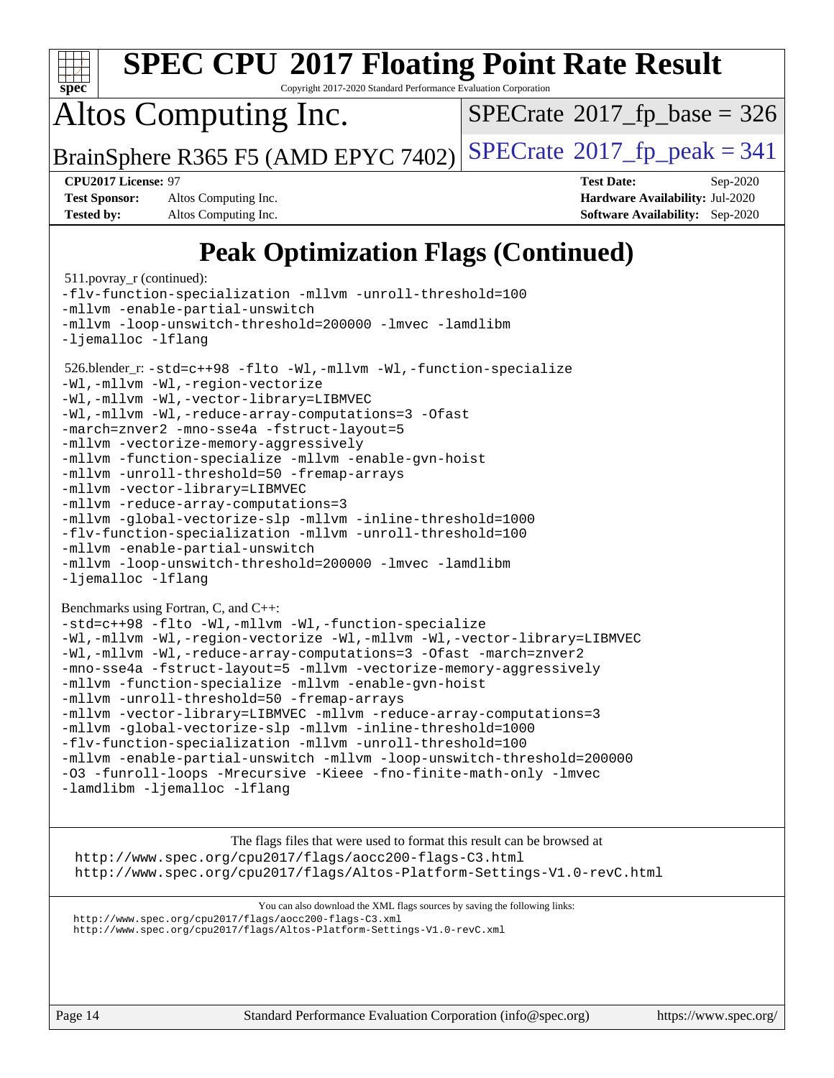